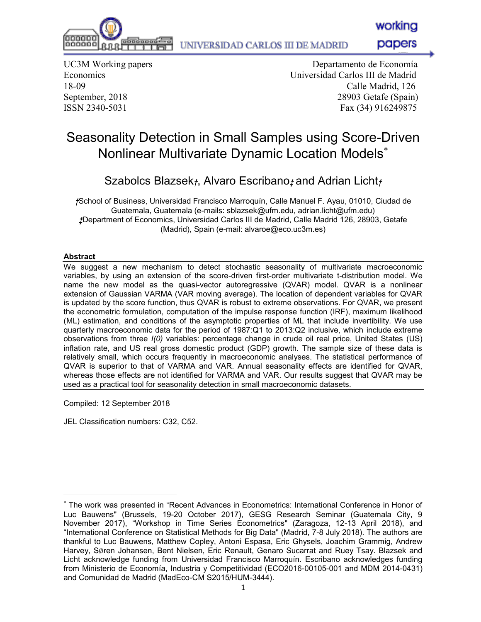

UNIVERSIDAD CARLOS III DE MADRID

papers

UC3M Working papers Economics 18-09 September, 2018

הההההר

000000

 Departamento de Economía Universidad Carlos III de Madrid Calle Madrid, 126 28903 Getafe (Spain) ISSN 2340-5031 Fax (34) 916249875

# Seasonality Detection in Small Samples using Score-Driven Nonlinear Multivariate Dynamic Location Models

Szabolcs Blazsek*†*, Alvaro Escribano*‡* and Adrian Licht*†*

*†*School of Business, Universidad Francisco Marroquín, Calle Manuel F. Ayau, 01010, Ciudad de Guatemala, Guatemala (e-mails: sblazsek@ufm.edu, adrian.licht@ufm.edu) *‡*Department of Economics, Universidad Carlos III de Madrid, Calle Madrid 126, 28903, Getafe (Madrid), Spain (e-mail: alvaroe@eco.uc3m.es)

# **Abstract**

We suggest a new mechanism to detect stochastic seasonality of multivariate macroeconomic variables, by using an extension of the score-driven first-order multivariate t-distribution model. We name the new model as the quasi-vector autoregressive (QVAR) model. QVAR is a nonlinear extension of Gaussian VARMA (VAR moving average). The location of dependent variables for QVAR is updated by the score function, thus QVAR is robust to extreme observations. For QVAR, we present the econometric formulation, computation of the impulse response function (IRF), maximum likelihood (ML) estimation, and conditions of the asymptotic properties of ML that include invertibility. We use quarterly macroeconomic data for the period of 1987:Q1 to 2013:Q2 inclusive, which include extreme observations from three *I(0)* variables: percentage change in crude oil real price, United States (US) inflation rate, and US real gross domestic product (GDP) growth. The sample size of these data is relatively small, which occurs frequently in macroeconomic analyses. The statistical performance of QVAR is superior to that of VARMA and VAR. Annual seasonality effects are identified for QVAR, whereas those effects are not identified for VARMA and VAR. Our results suggest that QVAR may be used as a practical tool for seasonality detection in small macroeconomic datasets.

Compiled: 12 September 2018

JEL Classification numbers: C32, C52.

The work was presented in "Recent Advances in Econometrics: International Conference in Honor of Luc Bauwens" (Brussels, 19-20 October 2017), GESG Research Seminar (Guatemala City, 9 November 2017), "Workshop in Time Series Econometrics" (Zaragoza, 12-13 April 2018), and "International Conference on Statistical Methods for Big Data" (Madrid, 7-8 July 2018). The authors are thankful to Luc Bauwens, Matthew Copley, Antoni Espasa, Eric Ghysels, Joachim Grammig, Andrew Harvey, S∅ren Johansen, Bent Nielsen, Eric Renault, Genaro Sucarrat and Ruey Tsay. Blazsek and Licht acknowledge funding from Universidad Francisco Marroquín. Escribano acknowledges funding from Ministerio de Economía, Industria y Competitividad (ECO2016-00105-001 and MDM 2014-0431) and Comunidad de Madrid (MadEco-CM S2015/HUM-3444).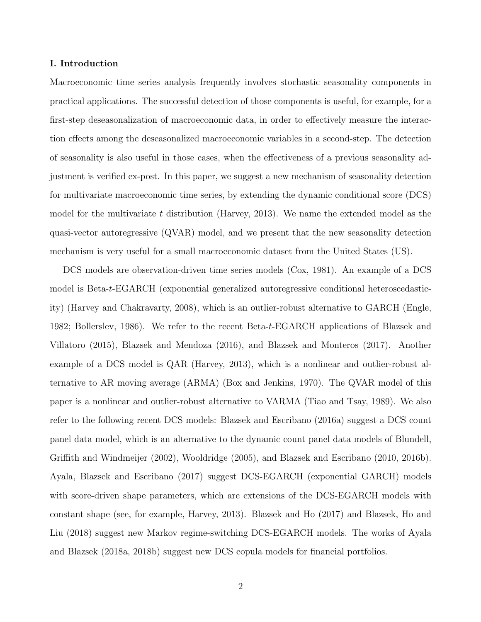# I. Introduction

Macroeconomic time series analysis frequently involves stochastic seasonality components in practical applications. The successful detection of those components is useful, for example, for a first-step deseasonalization of macroeconomic data, in order to effectively measure the interaction effects among the deseasonalized macroeconomic variables in a second-step. The detection of seasonality is also useful in those cases, when the effectiveness of a previous seasonality adjustment is verified ex-post. In this paper, we suggest a new mechanism of seasonality detection for multivariate macroeconomic time series, by extending the dynamic conditional score (DCS) model for the multivariate t distribution (Harvey, 2013). We name the extended model as the quasi-vector autoregressive (QVAR) model, and we present that the new seasonality detection mechanism is very useful for a small macroeconomic dataset from the United States (US).

DCS models are observation-driven time series models (Cox, 1981). An example of a DCS model is Beta-t-EGARCH (exponential generalized autoregressive conditional heteroscedasticity) (Harvey and Chakravarty, 2008), which is an outlier-robust alternative to GARCH (Engle, 1982; Bollerslev, 1986). We refer to the recent Beta-t-EGARCH applications of Blazsek and Villatoro (2015), Blazsek and Mendoza (2016), and Blazsek and Monteros (2017). Another example of a DCS model is QAR (Harvey, 2013), which is a nonlinear and outlier-robust alternative to AR moving average (ARMA) (Box and Jenkins, 1970). The QVAR model of this paper is a nonlinear and outlier-robust alternative to VARMA (Tiao and Tsay, 1989). We also refer to the following recent DCS models: Blazsek and Escribano (2016a) suggest a DCS count panel data model, which is an alternative to the dynamic count panel data models of Blundell, Griffith and Windmeijer (2002), Wooldridge (2005), and Blazsek and Escribano (2010, 2016b). Ayala, Blazsek and Escribano (2017) suggest DCS-EGARCH (exponential GARCH) models with score-driven shape parameters, which are extensions of the DCS-EGARCH models with constant shape (see, for example, Harvey, 2013). Blazsek and Ho (2017) and Blazsek, Ho and Liu (2018) suggest new Markov regime-switching DCS-EGARCH models. The works of Ayala and Blazsek (2018a, 2018b) suggest new DCS copula models for financial portfolios.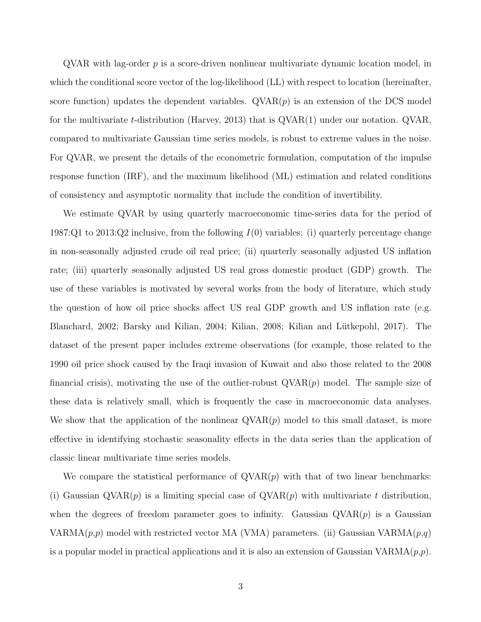$\alpha$ VAR with lag-order p is a score-driven nonlinear multivariate dynamic location model, in which the conditional score vector of the log-likelihood (LL) with respect to location (hereinafter, score function) updates the dependent variables.  $\text{QVAR}(p)$  is an extension of the DCS model for the multivariate t-distribution (Harvey, 2013) that is  $\alpha$ VAR(1) under our notation.  $\alpha$ VAR, compared to multivariate Gaussian time series models, is robust to extreme values in the noise. For QVAR, we present the details of the econometric formulation, computation of the impulse response function (IRF), and the maximum likelihood (ML) estimation and related conditions of consistency and asymptotic normality that include the condition of invertibility.

We estimate QVAR by using quarterly macroeconomic time-series data for the period of 1987:Q1 to 2013:Q2 inclusive, from the following  $I(0)$  variables: (i) quarterly percentage change in non-seasonally adjusted crude oil real price; (ii) quarterly seasonally adjusted US inflation rate; (iii) quarterly seasonally adjusted US real gross domestic product (GDP) growth. The use of these variables is motivated by several works from the body of literature, which study the question of how oil price shocks affect US real GDP growth and US inflation rate (e.g. Blanchard, 2002; Barsky and Kilian, 2004; Kilian, 2008; Kilian and Lütkepohl, 2017). The dataset of the present paper includes extreme observations (for example, those related to the 1990 oil price shock caused by the Iraqi invasion of Kuwait and also those related to the 2008 financial crisis), motivating the use of the outlier-robust  $QVAR(p)$  model. The sample size of these data is relatively small, which is frequently the case in macroeconomic data analyses. We show that the application of the nonlinear  $\text{QVAR}(p)$  model to this small dataset, is more effective in identifying stochastic seasonality effects in the data series than the application of classic linear multivariate time series models.

We compare the statistical performance of  $\text{QVAR}(p)$  with that of two linear benchmarks: (i) Gaussian  $\text{QVAR}(p)$  is a limiting special case of  $\text{QVAR}(p)$  with multivariate t distribution, when the degrees of freedom parameter goes to infinity. Gaussian  $\mathrm{QVAR}(p)$  is a Gaussian VARMA $(p,p)$  model with restricted vector MA (VMA) parameters. (ii) Gaussian VARMA $(p,q)$ is a popular model in practical applications and it is also an extension of Gaussian VARMA $(p, p)$ .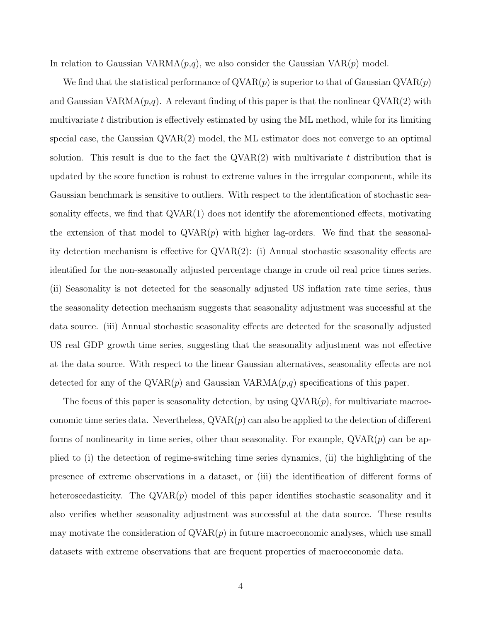In relation to Gaussian VARMA $(p,q)$ , we also consider the Gaussian VAR $(p)$  model.

We find that the statistical performance of  $QVAR(p)$  is superior to that of Gaussian  $QVAR(p)$ and Gaussian VARMA $(p,q)$ . A relevant finding of this paper is that the nonlinear  $\text{QVAR}(2)$  with multivariate  $t$  distribution is effectively estimated by using the ML method, while for its limiting special case, the Gaussian QVAR(2) model, the ML estimator does not converge to an optimal solution. This result is due to the fact the  $QVAR(2)$  with multivariate t distribution that is updated by the score function is robust to extreme values in the irregular component, while its Gaussian benchmark is sensitive to outliers. With respect to the identification of stochastic seasonality effects, we find that  $\text{QVAR}(1)$  does not identify the aforementioned effects, motivating the extension of that model to  $QVAR(p)$  with higher lag-orders. We find that the seasonality detection mechanism is effective for QVAR(2): (i) Annual stochastic seasonality effects are identified for the non-seasonally adjusted percentage change in crude oil real price times series. (ii) Seasonality is not detected for the seasonally adjusted US inflation rate time series, thus the seasonality detection mechanism suggests that seasonality adjustment was successful at the data source. (iii) Annual stochastic seasonality effects are detected for the seasonally adjusted US real GDP growth time series, suggesting that the seasonality adjustment was not effective at the data source. With respect to the linear Gaussian alternatives, seasonality effects are not detected for any of the  $\text{QVAR}(p)$  and Gaussian VARMA $(p,q)$  specifications of this paper.

The focus of this paper is seasonality detection, by using  $\mathrm{QVAR}(p)$ , for multivariate macroeconomic time series data. Nevertheless,  $\text{QVAR}(p)$  can also be applied to the detection of different forms of nonlinearity in time series, other than seasonality. For example,  $\text{QVAR}(p)$  can be applied to (i) the detection of regime-switching time series dynamics, (ii) the highlighting of the presence of extreme observations in a dataset, or (iii) the identification of different forms of heteroscedasticity. The  $QVAR(p)$  model of this paper identifies stochastic seasonality and it also verifies whether seasonality adjustment was successful at the data source. These results may motivate the consideration of  $QVAR(p)$  in future macroeconomic analyses, which use small datasets with extreme observations that are frequent properties of macroeconomic data.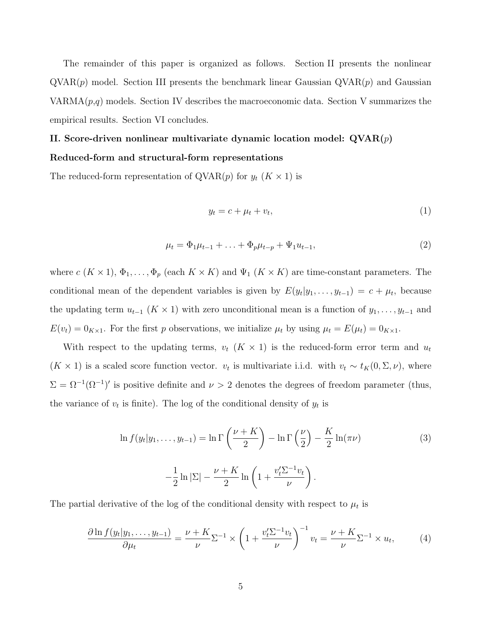The remainder of this paper is organized as follows. Section II presents the nonlinear  $\mathrm{QVAR}(p)$  model. Section III presents the benchmark linear Gaussian  $\mathrm{QVAR}(p)$  and Gaussian  $VARMA(p,q)$  models. Section IV describes the macroeconomic data. Section V summarizes the empirical results. Section VI concludes.

# II. Score-driven nonlinear multivariate dynamic location model:  $\text{QVAR}(p)$ Reduced-form and structural-form representations

The reduced-form representation of  $QVAR(p)$  for  $y_t$   $(K \times 1)$  is

$$
y_t = c + \mu_t + v_t,\tag{1}
$$

$$
\mu_t = \Phi_1 \mu_{t-1} + \ldots + \Phi_p \mu_{t-p} + \Psi_1 u_{t-1},\tag{2}
$$

where  $c (K \times 1), \Phi_1, \ldots, \Phi_p$  (each  $K \times K$ ) and  $\Psi_1 (K \times K)$  are time-constant parameters. The conditional mean of the dependent variables is given by  $E(y_t|y_1,\ldots,y_{t-1}) = c + \mu_t$ , because the updating term  $u_{t-1}$  ( $K \times 1$ ) with zero unconditional mean is a function of  $y_1, \ldots, y_{t-1}$  and  $E(v_t) = 0_{K \times 1}$ . For the first p observations, we initialize  $\mu_t$  by using  $\mu_t = E(\mu_t) = 0_{K \times 1}$ .

With respect to the updating terms,  $v_t$  ( $K \times 1$ ) is the reduced-form error term and  $u_t$  $(K \times 1)$  is a scaled score function vector.  $v_t$  is multivariate i.i.d. with  $v_t \sim t_K(0, \Sigma, \nu)$ , where  $\Sigma = \Omega^{-1}(\Omega^{-1})'$  is positive definite and  $\nu > 2$  denotes the degrees of freedom parameter (thus, the variance of  $v_t$  is finite). The log of the conditional density of  $y_t$  is

$$
\ln f(y_t|y_1,\ldots,y_{t-1}) = \ln \Gamma\left(\frac{\nu + K}{2}\right) - \ln \Gamma\left(\frac{\nu}{2}\right) - \frac{K}{2}\ln(\pi\nu)
$$
\n
$$
-\frac{1}{2}\ln|\Sigma| - \frac{\nu + K}{2}\ln\left(1 + \frac{v_t'\Sigma^{-1}v_t}{\nu}\right). \tag{3}
$$

The partial derivative of the log of the conditional density with respect to  $\mu_t$  is

$$
\frac{\partial \ln f(y_t|y_1,\ldots,y_{t-1})}{\partial \mu_t} = \frac{\nu + K}{\nu} \Sigma^{-1} \times \left(1 + \frac{v_t^{\prime} \Sigma^{-1} v_t}{\nu}\right)^{-1} v_t = \frac{\nu + K}{\nu} \Sigma^{-1} \times u_t,\tag{4}
$$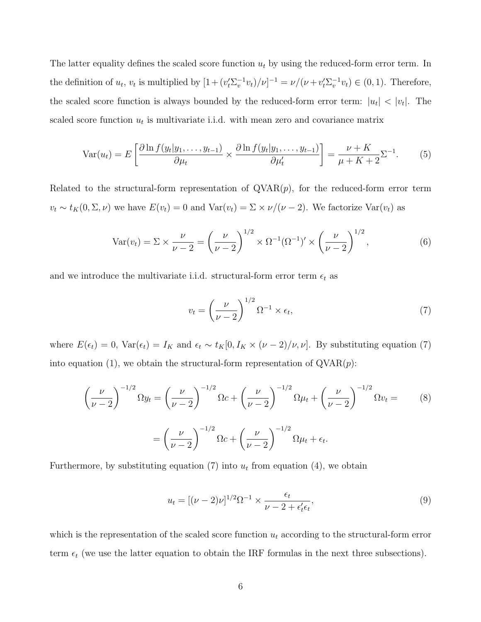The latter equality defines the scaled score function  $u_t$  by using the reduced-form error term. In the definition of  $u_t$ ,  $v_t$  is multiplied by  $[1 + (v_t^{\prime} \Sigma_v^{-1} v_t)/\nu]^{-1} = \nu/(\nu + v_t^{\prime} \Sigma_v^{-1} v_t) \in (0, 1)$ . Therefore, the scaled score function is always bounded by the reduced-form error term:  $|u_t| < |v_t|$ . The scaled score function  $u_t$  is multivariate i.i.d. with mean zero and covariance matrix

$$
\text{Var}(u_t) = E\left[\frac{\partial \ln f(y_t|y_1,\dots,y_{t-1})}{\partial \mu_t} \times \frac{\partial \ln f(y_t|y_1,\dots,y_{t-1})}{\partial \mu_t'}\right] = \frac{\nu + K}{\mu + K + 2} \Sigma^{-1}.
$$
 (5)

Related to the structural-form representation of  $QVAR(p)$ , for the reduced-form error term  $v_t \sim t_K(0, \Sigma, \nu)$  we have  $E(v_t) = 0$  and  $Var(v_t) = \Sigma \times \nu/(\nu - 2)$ . We factorize  $Var(v_t)$  as

$$
\text{Var}(v_t) = \Sigma \times \frac{\nu}{\nu - 2} = \left(\frac{\nu}{\nu - 2}\right)^{1/2} \times \Omega^{-1} (\Omega^{-1})' \times \left(\frac{\nu}{\nu - 2}\right)^{1/2},\tag{6}
$$

and we introduce the multivariate i.i.d. structural-form error term  $\epsilon_t$  as

$$
v_t = \left(\frac{\nu}{\nu - 2}\right)^{1/2} \Omega^{-1} \times \epsilon_t,\tag{7}
$$

where  $E(\epsilon_t) = 0$ ,  $Var(\epsilon_t) = I_K$  and  $\epsilon_t \sim t_K[0, I_K \times (\nu - 2)/\nu, \nu]$ . By substituting equation (7) into equation (1), we obtain the structural-form representation of  $\mathrm{QVAR}(p)$ :

$$
\left(\frac{\nu}{\nu-2}\right)^{-1/2} \Omega y_t = \left(\frac{\nu}{\nu-2}\right)^{-1/2} \Omega c + \left(\frac{\nu}{\nu-2}\right)^{-1/2} \Omega \mu_t + \left(\frac{\nu}{\nu-2}\right)^{-1/2} \Omega v_t = \left(\frac{\nu}{\nu-2}\right)^{-1/2} \Omega c + \left(\frac{\nu}{\nu-2}\right)^{-1/2} \Omega \mu_t + \epsilon_t.
$$
\n(8)

Furthermore, by substituting equation (7) into  $u_t$  from equation (4), we obtain

$$
u_t = [(\nu - 2)\nu]^{1/2} \Omega^{-1} \times \frac{\epsilon_t}{\nu - 2 + \epsilon'_t \epsilon_t},
$$
\n(9)

which is the representation of the scaled score function  $u_t$  according to the structural-form error term  $\epsilon_t$  (we use the latter equation to obtain the IRF formulas in the next three subsections).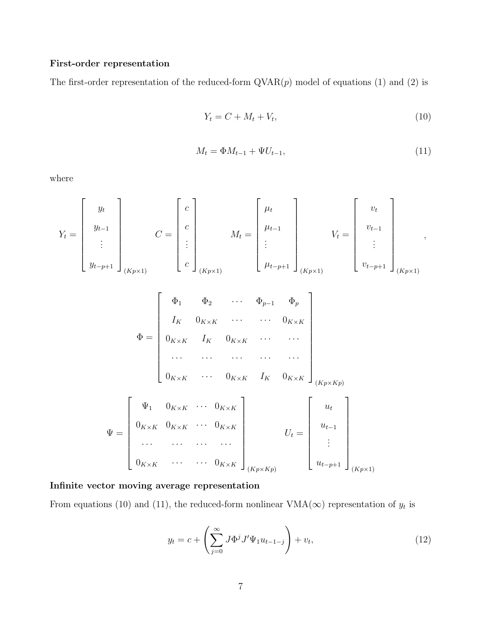# First-order representation

The first-order representation of the reduced-form  $\text{QVAR}(p)$  model of equations (1) and (2) is

$$
Y_t = C + M_t + V_t,\tag{10}
$$

$$
M_t = \Phi M_{t-1} + \Psi U_{t-1},\tag{11}
$$

where

$$
Y_{t} = \begin{bmatrix} y_{t} \\ y_{t-1} \\ \vdots \\ y_{t-p+1} \end{bmatrix}_{(Kp\times 1)} C = \begin{bmatrix} c \\ c \\ \vdots \\ c \end{bmatrix}_{(Kp\times 1)} M_{t} = \begin{bmatrix} \mu_{t} \\ \mu_{t-1} \\ \vdots \\ \mu_{t-p+1} \end{bmatrix}_{(Kp\times 1)} V_{t} = \begin{bmatrix} v_{t} \\ v_{t-1} \\ \vdots \\ v_{t-p+1} \end{bmatrix}_{(Kp\times 1)},
$$
  
\n
$$
\Phi = \begin{bmatrix} \Phi_{1} & \Phi_{2} & \cdots & \Phi_{p-1} & \Phi_{p} \\ I_{K} & 0_{K\times K} & \cdots & \cdots & 0_{K\times K} \\ 0_{K\times K} & I_{K} & 0_{K\times K} & \cdots & \cdots \\ \cdots & \cdots & \cdots & \cdots & \cdots \\ 0_{K\times K} & \cdots & 0_{K\times K} & I_{K} & 0_{K\times K} \end{bmatrix}_{(Kp\times Kp)}
$$
  
\n
$$
\Psi = \begin{bmatrix} \Psi_{1} & 0_{K\times K} & \cdots & 0_{K\times K} \\ 0_{K\times K} & 0_{K\times K} & \cdots & 0_{K\times K} \\ \cdots & \cdots & \cdots & \cdots \\ 0_{K\times K} & 0_{K\times K} & \cdots & 0_{K\times K} \end{bmatrix}_{(Kp\times Kp)} U_{t} = \begin{bmatrix} u_{t} \\ u_{t-1} \\ \vdots \\ u_{t-p+1} \end{bmatrix}_{(Kp\times 1)}
$$

# Infinite vector moving average representation

From equations (10) and (11), the reduced-form nonlinear  $VMA(\infty)$  representation of  $y_t$  is

$$
y_t = c + \left(\sum_{j=0}^{\infty} J \Phi^j J' \Psi_1 u_{t-1-j}\right) + v_t,
$$
\n(12)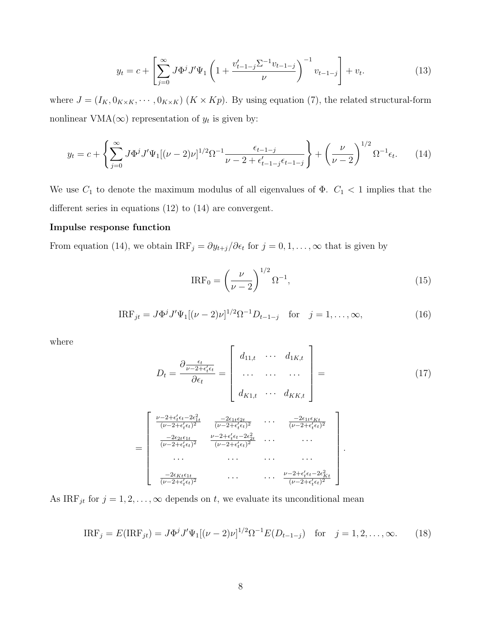$$
y_t = c + \left[ \sum_{j=0}^{\infty} J \Phi^j J' \Psi_1 \left( 1 + \frac{v_{t-1-j}' \Sigma^{-1} v_{t-1-j}}{\nu} \right)^{-1} v_{t-1-j} \right] + v_t.
$$
 (13)

where  $J = (I_K, 0_{K \times K}, \cdots, 0_{K \times K})$   $(K \times Kp)$ . By using equation (7), the related structural-form nonlinear VMA( $\infty$ ) representation of  $y_t$  is given by:

$$
y_t = c + \left\{ \sum_{j=0}^{\infty} J \Phi^j J' \Psi_1 [(\nu - 2)\nu]^{1/2} \Omega^{-1} \frac{\epsilon_{t-1-j}}{\nu - 2 + \epsilon'_{t-1-j} \epsilon_{t-1-j}} \right\} + \left(\frac{\nu}{\nu - 2}\right)^{1/2} \Omega^{-1} \epsilon_t.
$$
 (14)

We use  $C_1$  to denote the maximum modulus of all eigenvalues of  $\Phi$ .  $C_1$  < 1 implies that the different series in equations (12) to (14) are convergent.

# Impulse response function

From equation (14), we obtain  $IRF_j = \partial y_{t+j}/\partial \epsilon_t$  for  $j = 0, 1, ..., \infty$  that is given by

$$
IRF_0 = \left(\frac{\nu}{\nu - 2}\right)^{1/2} \Omega^{-1},
$$
\n(15)

$$
IRF_{jt} = J\Phi^{j} J'\Psi_{1}[(\nu - 2)\nu]^{1/2} \Omega^{-1} D_{t-1-j} \quad \text{for} \quad j = 1, ..., \infty,
$$
\n(16)

where

$$
D_{t} = \frac{\partial \frac{\epsilon_{t}}{\nu - 2 + \epsilon'_{t} \epsilon_{t}}}{\partial \epsilon_{t}} = \begin{bmatrix} d_{11,t} & \cdots & d_{1K,t} \\ \cdots & \cdots & \cdots \\ d_{K1,t} & \cdots & d_{KK,t} \end{bmatrix} =
$$
(17)  

$$
= \begin{bmatrix} \frac{\nu - 2 + \epsilon'_{t} \epsilon_{t} - 2\epsilon_{1t}}{(\nu - 2 + \epsilon'_{t} \epsilon_{t})^{2}} & \frac{-2\epsilon_{1t} \epsilon_{2t}}{(\nu - 2 + \epsilon'_{t} \epsilon_{t})^{2}} & \cdots & \frac{-2\epsilon_{1t} \epsilon_{Kt}}{(\nu - 2 + \epsilon'_{t} \epsilon_{t})^{2}} \\ \frac{-2\epsilon_{2t} \epsilon_{1t}}{(\nu - 2 + \epsilon'_{t} \epsilon_{t})^{2}} & \frac{\nu - 2 + \epsilon'_{t} \epsilon_{t} - 2\epsilon_{2t}^{2}}{(\nu - 2 + \epsilon'_{t} \epsilon_{t})^{2}} & \cdots & \cdots \\ \cdots & \cdots & \cdots & \cdots \\ \frac{-2\epsilon_{Kt} \epsilon_{1t}}{(\nu - 2 + \epsilon'_{t} \epsilon_{t})^{2}} & \cdots & \cdots & \frac{\nu - 2 + \epsilon'_{t} \epsilon_{t} - 2\epsilon_{Kt}^{2}}{(\nu - 2 + \epsilon'_{t} \epsilon_{t})^{2}} \end{bmatrix}.
$$

As  $IRF_{jt}$  for  $j = 1, 2, ..., \infty$  depends on t, we evaluate its unconditional mean

$$
IRF_j = E(IRF_{jt}) = J\Phi^j J'\Psi_1[(\nu - 2)\nu]^{1/2} \Omega^{-1} E(D_{t-1-j}) \text{ for } j = 1, 2, ..., \infty.
$$
 (18)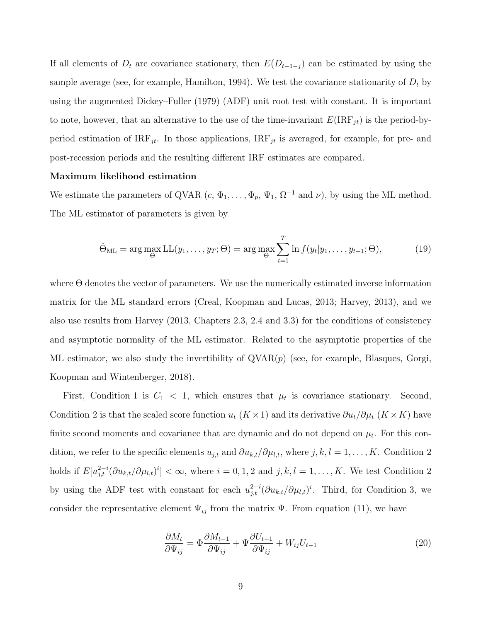If all elements of  $D_t$  are covariance stationary, then  $E(D_{t-1-j})$  can be estimated by using the sample average (see, for example, Hamilton, 1994). We test the covariance stationarity of  $D_t$  by using the augmented Dickey–Fuller (1979) (ADF) unit root test with constant. It is important to note, however, that an alternative to the use of the time-invariant  $E(\mathrm{IRF}_{jt})$  is the period-byperiod estimation of  $IRF_{jt}$ . In those applications,  $IRF_{jt}$  is averaged, for example, for pre- and post-recession periods and the resulting different IRF estimates are compared.

# Maximum likelihood estimation

We estimate the parameters of QVAR  $(c, \Phi_1, \ldots, \Phi_p, \Psi_1, \Omega^{-1} \text{ and } \nu)$ , by using the ML method. The ML estimator of parameters is given by

$$
\hat{\Theta}_{\text{ML}} = \arg \max_{\Theta} \text{LL}(y_1, \dots, y_T; \Theta) = \arg \max_{\Theta} \sum_{t=1}^T \ln f(y_t | y_1, \dots, y_{t-1}; \Theta), \tag{19}
$$

where Θ denotes the vector of parameters. We use the numerically estimated inverse information matrix for the ML standard errors (Creal, Koopman and Lucas, 2013; Harvey, 2013), and we also use results from Harvey (2013, Chapters 2.3, 2.4 and 3.3) for the conditions of consistency and asymptotic normality of the ML estimator. Related to the asymptotic properties of the ML estimator, we also study the invertibility of  $QVAR(p)$  (see, for example, Blasques, Gorgi, Koopman and Wintenberger, 2018).

First, Condition 1 is  $C_1 < 1$ , which ensures that  $\mu_t$  is covariance stationary. Second, Condition 2 is that the scaled score function  $u_t$  (K × 1) and its derivative  $\partial u_t/\partial \mu_t$  (K × K) have finite second moments and covariance that are dynamic and do not depend on  $\mu_t$ . For this condition, we refer to the specific elements  $u_{j,t}$  and  $\partial u_{k,t}/\partial \mu_{l,t}$ , where  $j, k, l = 1, ..., K$ . Condition 2 holds if  $E[u_{j,t}^{2-i}(\partial u_{k,t}/\partial \mu_{l,t})^i]<\infty$ , where  $i=0,1,2$  and  $j,k,l=1,\ldots,K$ . We test Condition 2 by using the ADF test with constant for each  $u_{j,t}^{2-i}(\partial u_{k,t}/\partial \mu_{l,t})^i$ . Third, for Condition 3, we consider the representative element  $\Psi_{ij}$  from the matrix  $\Psi$ . From equation (11), we have

$$
\frac{\partial M_t}{\partial \Psi_{ij}} = \Phi \frac{\partial M_{t-1}}{\partial \Psi_{ij}} + \Psi \frac{\partial U_{t-1}}{\partial \Psi_{ij}} + W_{ij} U_{t-1}
$$
\n(20)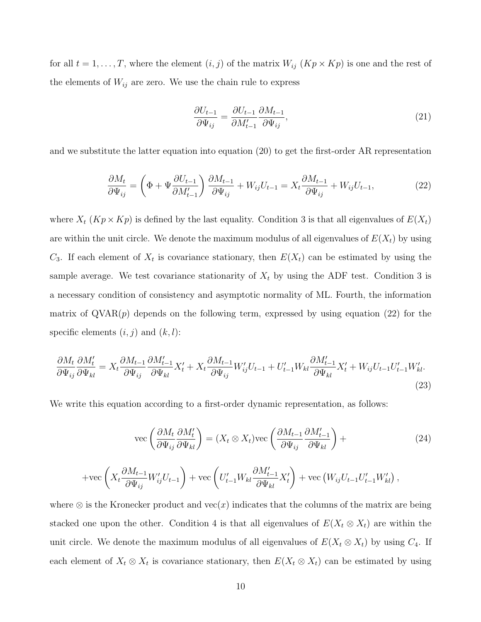for all  $t = 1, \ldots, T$ , where the element  $(i, j)$  of the matrix  $W_{ij}$   $(Kp \times Kp)$  is one and the rest of the elements of  $W_{ij}$  are zero. We use the chain rule to express

$$
\frac{\partial U_{t-1}}{\partial \Psi_{ij}} = \frac{\partial U_{t-1}}{\partial M'_{t-1}} \frac{\partial M_{t-1}}{\partial \Psi_{ij}},\tag{21}
$$

and we substitute the latter equation into equation (20) to get the first-order AR representation

$$
\frac{\partial M_t}{\partial \Psi_{ij}} = \left(\Phi + \Psi \frac{\partial U_{t-1}}{\partial M'_{t-1}}\right) \frac{\partial M_{t-1}}{\partial \Psi_{ij}} + W_{ij} U_{t-1} = X_t \frac{\partial M_{t-1}}{\partial \Psi_{ij}} + W_{ij} U_{t-1},\tag{22}
$$

where  $X_t$  ( $Kp \times Kp$ ) is defined by the last equality. Condition 3 is that all eigenvalues of  $E(X_t)$ are within the unit circle. We denote the maximum modulus of all eigenvalues of  $E(X_t)$  by using  $C_3$ . If each element of  $X_t$  is covariance stationary, then  $E(X_t)$  can be estimated by using the sample average. We test covariance stationarity of  $X_t$  by using the ADF test. Condition 3 is a necessary condition of consistency and asymptotic normality of ML. Fourth, the information matrix of  $\text{QVAR}(p)$  depends on the following term, expressed by using equation (22) for the specific elements  $(i, j)$  and  $(k, l)$ :

$$
\frac{\partial M_t}{\partial \Psi_{ij}} \frac{\partial M'_t}{\partial \Psi_{kl}} = X_t \frac{\partial M_{t-1}}{\partial \Psi_{ij}} \frac{\partial M'_{t-1}}{\partial \Psi_{kl}} X'_t + X_t \frac{\partial M_{t-1}}{\partial \Psi_{ij}} W'_{ij} U_{t-1} + U'_{t-1} W_{kl} \frac{\partial M'_{t-1}}{\partial \Psi_{kl}} X'_t + W_{ij} U_{t-1} U'_{t-1} W'_{kl}.
$$
\n(23)

We write this equation according to a first-order dynamic representation, as follows:

 $\partial \Psi_{ij}$ 

$$
\text{vec}\left(\frac{\partial M_t}{\partial \Psi_{ij}} \frac{\partial M'_t}{\partial \Psi_{kl}}\right) = (X_t \otimes X_t) \text{vec}\left(\frac{\partial M_{t-1}}{\partial \Psi_{ij}} \frac{\partial M'_{t-1}}{\partial \Psi_{kl}}\right) +
$$
  
+vec
$$
\left(X_t \frac{\partial M_{t-1}}{\partial \Psi} W'_{ij} U_{t-1}\right) + \text{vec}\left(U'_{t-1} W_{kl} \frac{\partial M'_{t-1}}{\partial \Psi_{kl}} X'_t\right) + \text{vec}\left(W_{ij} U_{t-1} U'_{t-1} W'_{kl}\right),
$$
(24)

 $\partial \Psi_{kl}$ 

where  $\otimes$  is the Kronecker product and vec $(x)$  indicates that the columns of the matrix are being stacked one upon the other. Condition 4 is that all eigenvalues of  $E(X_t \otimes X_t)$  are within the unit circle. We denote the maximum modulus of all eigenvalues of  $E(X_t \otimes X_t)$  by using  $C_4$ . If each element of  $X_t \otimes X_t$  is covariance stationary, then  $E(X_t \otimes X_t)$  can be estimated by using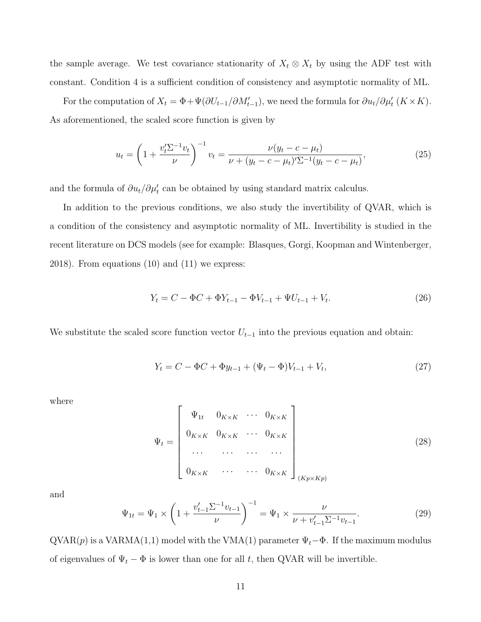the sample average. We test covariance stationarity of  $X_t \otimes X_t$  by using the ADF test with constant. Condition 4 is a sufficient condition of consistency and asymptotic normality of ML.

For the computation of  $X_t = \Phi + \Psi(\partial U_{t-1}/\partial M'_{t-1})$ , we need the formula for  $\partial u_t/\partial \mu'_t$   $(K \times K)$ . As aforementioned, the scaled score function is given by

$$
u_t = \left(1 + \frac{v_t' \Sigma^{-1} v_t}{\nu}\right)^{-1} v_t = \frac{\nu(y_t - c - \mu_t)}{\nu + (y_t - c - \mu_t') \Sigma^{-1} (y_t - c - \mu_t)},\tag{25}
$$

and the formula of  $\partial u_t / \partial \mu'_t$  can be obtained by using standard matrix calculus.

In addition to the previous conditions, we also study the invertibility of QVAR, which is a condition of the consistency and asymptotic normality of ML. Invertibility is studied in the recent literature on DCS models (see for example: Blasques, Gorgi, Koopman and Wintenberger, 2018). From equations (10) and (11) we express:

$$
Y_t = C - \Phi C + \Phi Y_{t-1} - \Phi V_{t-1} + \Psi U_{t-1} + V_t.
$$
\n(26)

We substitute the scaled score function vector  $U_{t-1}$  into the previous equation and obtain:

$$
Y_t = C - \Phi C + \Phi y_{t-1} + (\Psi_t - \Phi) V_{t-1} + V_t, \tag{27}
$$

where

$$
\Psi_{t} = \begin{bmatrix}\n\Psi_{1t} & 0_{K \times K} & \cdots & 0_{K \times K} \\
0_{K \times K} & 0_{K \times K} & \cdots & 0_{K \times K} \\
\cdots & \cdots & \cdots & \cdots \\
0_{K \times K} & \cdots & \cdots & 0_{K \times K}\n\end{bmatrix}_{(Kp \times Kp)}
$$
\n(28)

and

$$
\Psi_{1t} = \Psi_1 \times \left(1 + \frac{v_{t-1}' \Sigma^{-1} v_{t-1}}{\nu}\right)^{-1} = \Psi_1 \times \frac{\nu}{\nu + v_{t-1}' \Sigma^{-1} v_{t-1}}.
$$
\n(29)

 $QVAR(p)$  is a VARMA(1,1) model with the VMA(1) parameter  $\Psi_t-\Phi$ . If the maximum modulus of eigenvalues of  $\Psi_t - \Phi$  is lower than one for all t, then QVAR will be invertible.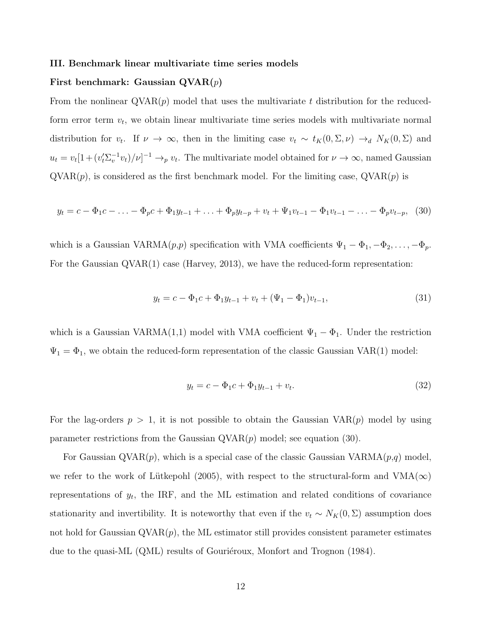#### III. Benchmark linear multivariate time series models

# First benchmark: Gaussian  $\mathrm{QVAR}(p)$

From the nonlinear  $\text{QVAR}(p)$  model that uses the multivariate t distribution for the reducedform error term  $v_t$ , we obtain linear multivariate time series models with multivariate normal distribution for  $v_t$ . If  $\nu \to \infty$ , then in the limiting case  $v_t \sim t_K(0, \Sigma, \nu) \to_d N_K(0, \Sigma)$  and  $u_t = v_t[1 + (v_t^{\prime} \Sigma_v^{-1} v_t)/\nu]^{-1} \to_p v_t$ . The multivariate model obtained for  $\nu \to \infty$ , named Gaussian  $QVAR(p)$ , is considered as the first benchmark model. For the limiting case,  $QVAR(p)$  is

$$
y_t = c - \Phi_1 c - \ldots - \Phi_p c + \Phi_1 y_{t-1} + \ldots + \Phi_p y_{t-p} + v_t + \Psi_1 v_{t-1} - \Phi_1 v_{t-1} - \ldots - \Phi_p v_{t-p}, \tag{30}
$$

which is a Gaussian VARMA $(p, p)$  specification with VMA coefficients  $\Psi_1 - \Phi_1, -\Phi_2, \ldots, -\Phi_p$ . For the Gaussian QVAR(1) case (Harvey, 2013), we have the reduced-form representation:

$$
y_t = c - \Phi_1 c + \Phi_1 y_{t-1} + v_t + (\Psi_1 - \Phi_1)v_{t-1},
$$
\n(31)

which is a Gaussian VARMA(1,1) model with VMA coefficient  $\Psi_1 - \Phi_1$ . Under the restriction  $\Psi_1 = \Phi_1$ , we obtain the reduced-form representation of the classic Gaussian VAR(1) model:

$$
y_t = c - \Phi_1 c + \Phi_1 y_{t-1} + v_t. \tag{32}
$$

For the lag-orders  $p > 1$ , it is not possible to obtain the Gaussian  $VAR(p)$  model by using parameter restrictions from the Gaussian  $\mathrm{QVAR}(p)$  model; see equation (30).

For Gaussian QVAR $(p)$ , which is a special case of the classic Gaussian VARMA $(p,q)$  model, we refer to the work of Lütkepohl (2005), with respect to the structural-form and  $VMA(\infty)$ representations of  $y_t$ , the IRF, and the ML estimation and related conditions of covariance stationarity and invertibility. It is noteworthy that even if the  $v_t \sim N_K(0, \Sigma)$  assumption does not hold for Gaussian  $\mathrm{QVAR}(p)$ , the ML estimator still provides consistent parameter estimates due to the quasi-ML (QML) results of Gourieroux, Monfort and Trognon (1984).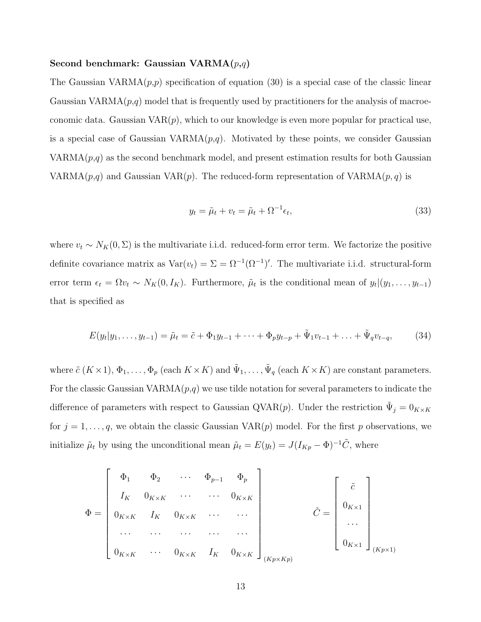# Second benchmark: Gaussian  $VARMA(p,q)$

The Gaussian  $VARMA(p,p)$  specification of equation (30) is a special case of the classic linear Gaussian  $VARMA(p,q)$  model that is frequently used by practitioners for the analysis of macroeconomic data. Gaussian  $VAR(p)$ , which to our knowledge is even more popular for practical use, is a special case of Gaussian  $VARMA(p,q)$ . Motivated by these points, we consider Gaussian  $VARMA(p,q)$  as the second benchmark model, and present estimation results for both Gaussian VARMA $(p,q)$  and Gaussian VAR $(p)$ . The reduced-form representation of VARMA $(p,q)$  is

$$
y_t = \tilde{\mu}_t + v_t = \tilde{\mu}_t + \Omega^{-1} \epsilon_t,\tag{33}
$$

where  $v_t \sim N_K(0, \Sigma)$  is the multivariate i.i.d. reduced-form error term. We factorize the positive definite covariance matrix as  $Var(v_t) = \Sigma = \Omega^{-1}(\Omega^{-1})'$ . The multivariate i.i.d. structural-form error term  $\epsilon_t = \Omega v_t \sim N_K(0, I_K)$ . Furthermore,  $\tilde{\mu}_t$  is the conditional mean of  $y_t | (y_1, \ldots, y_{t-1})$ that is specified as

$$
E(y_t|y_1,\ldots,y_{t-1}) = \tilde{\mu}_t = \tilde{c} + \Phi_1 y_{t-1} + \cdots + \Phi_p y_{t-p} + \tilde{\Psi}_1 v_{t-1} + \ldots + \tilde{\Psi}_q v_{t-q},
$$
(34)

where  $\tilde{c}(K \times 1), \Phi_1, \ldots, \Phi_p$  (each  $K \times K$ ) and  $\tilde{\Psi}_1, \ldots, \tilde{\Psi}_q$  (each  $K \times K$ ) are constant parameters. For the classic Gaussian VARMA $(p,q)$  we use tilde notation for several parameters to indicate the difference of parameters with respect to Gaussian QVAR $(p)$ . Under the restriction  $\tilde{\Psi}_j = 0_{K \times K}$ for  $j = 1, \ldots, q$ , we obtain the classic Gaussian VAR $(p)$  model. For the first p observations, we initialize  $\tilde{\mu}_t$  by using the unconditional mean  $\tilde{\mu}_t = E(y_t) = J(I_{Kp} - \Phi)^{-1}\tilde{C}$ , where

$$
\Phi = \begin{bmatrix}\n\Phi_1 & \Phi_2 & \cdots & \Phi_{p-1} & \Phi_p \\
I_K & 0_{K \times K} & \cdots & \cdots & 0_{K \times K} \\
0_{K \times K} & I_K & 0_{K \times K} & \cdots & \cdots \\
\cdots & \cdots & \cdots & \cdots & \cdots \\
0_{K \times K} & \cdots & 0_{K \times K} & I_K & 0_{K \times K}\n\end{bmatrix}_{(Kp \times Kp)} \tilde{C} = \begin{bmatrix} \tilde{c} \\
0_{K \times 1} \\
\cdots \\
0_{K \times 1}\n\end{bmatrix}_{(Kp \times 1)}
$$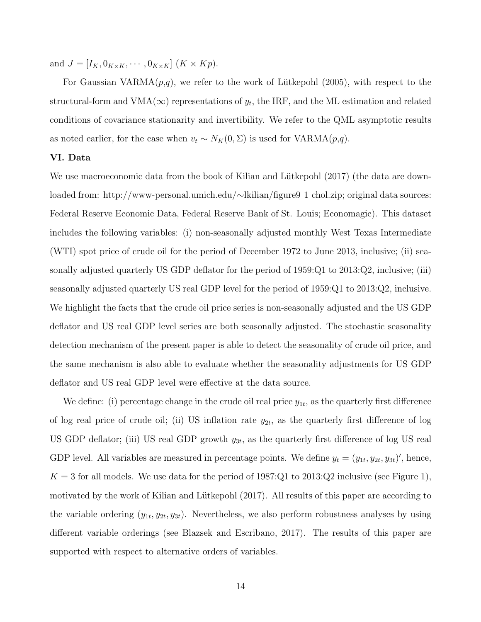and  $J = [I_K, 0_{K \times K}, \cdots, 0_{K \times K}]$   $(K \times Kp)$ .

For Gaussian VARMA $(p,q)$ , we refer to the work of Lütkepohl (2005), with respect to the structural-form and  $VMA(\infty)$  representations of  $y_t$ , the IRF, and the ML estimation and related conditions of covariance stationarity and invertibility. We refer to the QML asymptotic results as noted earlier, for the case when  $v_t \sim N_K(0, \Sigma)$  is used for VARMA( $p, q$ ).

# VI. Data

We use macroeconomic data from the book of Kilian and Lütkepohl (2017) (the data are downloaded from: http://www-personal.umich.edu/∼lkilian/figure9 1 chol.zip; original data sources: Federal Reserve Economic Data, Federal Reserve Bank of St. Louis; Economagic). This dataset includes the following variables: (i) non-seasonally adjusted monthly West Texas Intermediate (WTI) spot price of crude oil for the period of December 1972 to June 2013, inclusive; (ii) seasonally adjusted quarterly US GDP deflator for the period of 1959:Q1 to 2013:Q2, inclusive; (iii) seasonally adjusted quarterly US real GDP level for the period of 1959:Q1 to 2013:Q2, inclusive. We highlight the facts that the crude oil price series is non-seasonally adjusted and the US GDP deflator and US real GDP level series are both seasonally adjusted. The stochastic seasonality detection mechanism of the present paper is able to detect the seasonality of crude oil price, and the same mechanism is also able to evaluate whether the seasonality adjustments for US GDP deflator and US real GDP level were effective at the data source.

We define: (i) percentage change in the crude oil real price  $y_{1t}$ , as the quarterly first difference of log real price of crude oil; (ii) US inflation rate  $y_{2t}$ , as the quarterly first difference of log US GDP deflator; (iii) US real GDP growth  $y_{3t}$ , as the quarterly first difference of log US real GDP level. All variables are measured in percentage points. We define  $y_t = (y_{1t}, y_{2t}, y_{3t})'$ , hence,  $K = 3$  for all models. We use data for the period of 1987:Q1 to 2013:Q2 inclusive (see Figure 1), motivated by the work of Kilian and Lütkepohl  $(2017)$ . All results of this paper are according to the variable ordering  $(y_{1t}, y_{2t}, y_{3t})$ . Nevertheless, we also perform robustness analyses by using different variable orderings (see Blazsek and Escribano, 2017). The results of this paper are supported with respect to alternative orders of variables.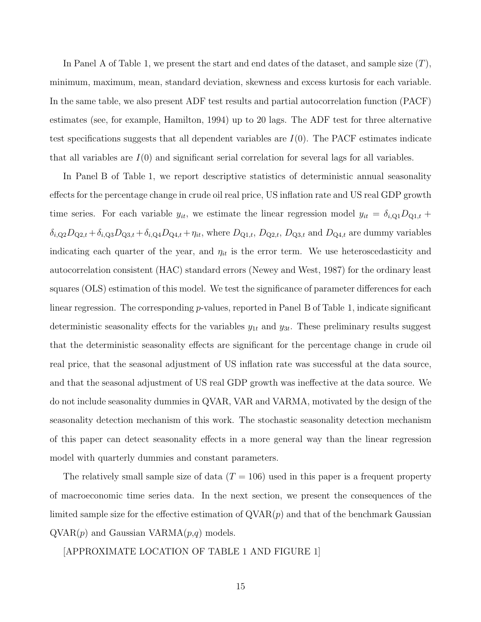In Panel A of Table 1, we present the start and end dates of the dataset, and sample size  $(T)$ , minimum, maximum, mean, standard deviation, skewness and excess kurtosis for each variable. In the same table, we also present ADF test results and partial autocorrelation function (PACF) estimates (see, for example, Hamilton, 1994) up to 20 lags. The ADF test for three alternative test specifications suggests that all dependent variables are  $I(0)$ . The PACF estimates indicate that all variables are  $I(0)$  and significant serial correlation for several lags for all variables.

In Panel B of Table 1, we report descriptive statistics of deterministic annual seasonality effects for the percentage change in crude oil real price, US inflation rate and US real GDP growth time series. For each variable  $y_{it}$ , we estimate the linear regression model  $y_{it} = \delta_{i,\text{Q1}} D_{\text{Q1},t} +$  $\delta_{i,\text{Q}2}D_{\text{Q}2,t} + \delta_{i,\text{Q}3}D_{\text{Q}3,t} + \delta_{i,\text{Q}4}D_{\text{Q}4,t} + \eta_{it}$ , where  $D_{\text{Q}1,t}$ ,  $D_{\text{Q}2,t}$ ,  $D_{\text{Q}3,t}$  and  $D_{\text{Q}4,t}$  are dummy variables indicating each quarter of the year, and  $\eta_{it}$  is the error term. We use heteroscedasticity and autocorrelation consistent (HAC) standard errors (Newey and West, 1987) for the ordinary least squares (OLS) estimation of this model. We test the significance of parameter differences for each linear regression. The corresponding  $p$ -values, reported in Panel B of Table 1, indicate significant deterministic seasonality effects for the variables  $y_{1t}$  and  $y_{3t}$ . These preliminary results suggest that the deterministic seasonality effects are significant for the percentage change in crude oil real price, that the seasonal adjustment of US inflation rate was successful at the data source, and that the seasonal adjustment of US real GDP growth was ineffective at the data source. We do not include seasonality dummies in QVAR, VAR and VARMA, motivated by the design of the seasonality detection mechanism of this work. The stochastic seasonality detection mechanism of this paper can detect seasonality effects in a more general way than the linear regression model with quarterly dummies and constant parameters.

The relatively small sample size of data  $(T = 106)$  used in this paper is a frequent property of macroeconomic time series data. In the next section, we present the consequences of the limited sample size for the effective estimation of  $QVAR(p)$  and that of the benchmark Gaussian  $QVAR(p)$  and Gaussian VARMA $(p,q)$  models.

[APPROXIMATE LOCATION OF TABLE 1 AND FIGURE 1]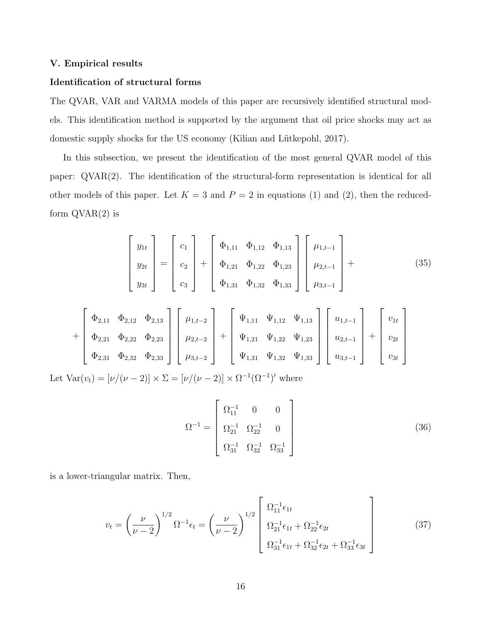# V. Empirical results

# Identification of structural forms

The QVAR, VAR and VARMA models of this paper are recursively identified structural models. This identification method is supported by the argument that oil price shocks may act as domestic supply shocks for the US economy (Kilian and Lütkepohl, 2017).

In this subsection, we present the identification of the most general QVAR model of this paper: QVAR(2). The identification of the structural-form representation is identical for all other models of this paper. Let  $K = 3$  and  $P = 2$  in equations (1) and (2), then the reducedform  $\text{QVAR}(2)$  is

$$
\begin{bmatrix} y_{1t} \\ y_{2t} \\ y_{3t} \end{bmatrix} = \begin{bmatrix} c_1 \\ c_2 \\ c_3 \end{bmatrix} + \begin{bmatrix} \Phi_{1,11} & \Phi_{1,12} & \Phi_{1,13} \\ \Phi_{1,21} & \Phi_{1,22} & \Phi_{1,23} \\ \Phi_{1,31} & \Phi_{1,32} & \Phi_{1,33} \end{bmatrix} \begin{bmatrix} \mu_{1,t-1} \\ \mu_{2,t-1} \\ \mu_{3,t-1} \end{bmatrix} +
$$
(35)

$$
+\begin{bmatrix} \Phi_{2,11} & \Phi_{2,12} & \Phi_{2,13} \\ \Phi_{2,21} & \Phi_{2,22} & \Phi_{2,23} \\ \Phi_{2,31} & \Phi_{2,32} & \Phi_{2,33} \end{bmatrix} \begin{bmatrix} \mu_{1,t-2} \\ \mu_{2,t-2} \\ \mu_{3,t-2} \end{bmatrix} + \begin{bmatrix} \Psi_{1,11} & \Psi_{1,12} & \Psi_{1,13} \\ \Psi_{1,21} & \Psi_{1,22} & \Psi_{1,23} \\ \Psi_{1,31} & \Psi_{1,32} & \Psi_{1,33} \end{bmatrix} \begin{bmatrix} u_{1,t-1} \\ u_{2,t-1} \\ u_{3,t-1} \end{bmatrix} + \begin{bmatrix} v_{1t} \\ v_{2t} \\ v_{3t} \end{bmatrix}
$$

Let  $\text{Var}(v_t) = [\nu/(\nu - 2)] \times \Sigma = [\nu/(\nu - 2)] \times \Omega^{-1}(\Omega^{-1})'$  where

$$
\Omega^{-1} = \begin{bmatrix} \Omega_{11}^{-1} & 0 & 0 \\ \Omega_{21}^{-1} & \Omega_{22}^{-1} & 0 \\ \Omega_{31}^{-1} & \Omega_{32}^{-1} & \Omega_{33}^{-1} \end{bmatrix}
$$
 (36)

is a lower-triangular matrix. Then,

$$
v_t = \left(\frac{\nu}{\nu - 2}\right)^{1/2} \Omega^{-1} \epsilon_t = \left(\frac{\nu}{\nu - 2}\right)^{1/2} \begin{bmatrix} \Omega_{11}^{-1} \epsilon_{1t} \\ \Omega_{21}^{-1} \epsilon_{1t} + \Omega_{22}^{-1} \epsilon_{2t} \\ \Omega_{31}^{-1} \epsilon_{1t} + \Omega_{32}^{-1} \epsilon_{2t} + \Omega_{33}^{-1} \epsilon_{3t} \end{bmatrix}
$$
(37)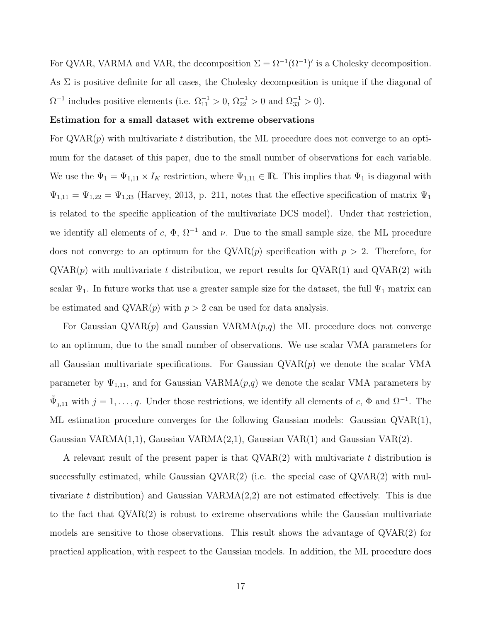For QVAR, VARMA and VAR, the decomposition  $\Sigma = \Omega^{-1}(\Omega^{-1})'$  is a Cholesky decomposition. As  $\Sigma$  is positive definite for all cases, the Cholesky decomposition is unique if the diagonal of  $\Omega^{-1}$  includes positive elements (i.e.  $\Omega_{11}^{-1} > 0$ ,  $\Omega_{22}^{-1} > 0$  and  $\Omega_{33}^{-1} > 0$ ).

### Estimation for a small dataset with extreme observations

For  $\alpha$ VAR $(p)$  with multivariate t distribution, the ML procedure does not converge to an optimum for the dataset of this paper, due to the small number of observations for each variable. We use the  $\Psi_1 = \Psi_{1,11} \times I_K$  restriction, where  $\Psi_{1,11} \in \mathbb{R}$ . This implies that  $\Psi_1$  is diagonal with  $\Psi_{1,11} = \Psi_{1,22} = \Psi_{1,33}$  (Harvey, 2013, p. 211, notes that the effective specification of matrix  $\Psi_1$ is related to the specific application of the multivariate DCS model). Under that restriction, we identify all elements of c,  $\Phi$ ,  $\Omega^{-1}$  and  $\nu$ . Due to the small sample size, the ML procedure does not converge to an optimum for the  $QVAR(p)$  specification with  $p > 2$ . Therefore, for  $\text{QVAR}(p)$  with multivariate t distribution, we report results for  $\text{QVAR}(1)$  and  $\text{QVAR}(2)$  with scalar  $\Psi_1$ . In future works that use a greater sample size for the dataset, the full  $\Psi_1$  matrix can be estimated and  $QVAR(p)$  with  $p > 2$  can be used for data analysis.

For Gaussian  $QVAR(p)$  and Gaussian  $VARMA(p,q)$  the ML procedure does not converge to an optimum, due to the small number of observations. We use scalar VMA parameters for all Gaussian multivariate specifications. For Gaussian  $QVAR(p)$  we denote the scalar VMA parameter by  $\Psi_{1,11}$ , and for Gaussian VARMA $(p,q)$  we denote the scalar VMA parameters by  $\tilde{\Psi}_{j,11}$  with  $j = 1, \ldots, q$ . Under those restrictions, we identify all elements of c,  $\Phi$  and  $\Omega^{-1}$ . The ML estimation procedure converges for the following Gaussian models: Gaussian QVAR(1), Gaussian VARMA(1,1), Gaussian VARMA(2,1), Gaussian VAR(1) and Gaussian VAR(2).

A relevant result of the present paper is that  $QVAR(2)$  with multivariate t distribution is successfully estimated, while Gaussian  $\mathrm{QVAR}(2)$  (i.e. the special case of  $\mathrm{QVAR}(2)$  with multivariate t distribution) and Gaussian  $VARMA(2,2)$  are not estimated effectively. This is due to the fact that QVAR(2) is robust to extreme observations while the Gaussian multivariate models are sensitive to those observations. This result shows the advantage of QVAR(2) for practical application, with respect to the Gaussian models. In addition, the ML procedure does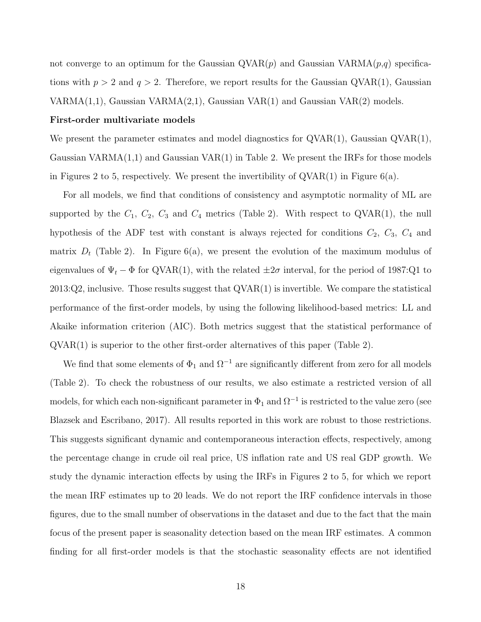not converge to an optimum for the Gaussian  $QVAR(p)$  and Gaussian  $VARMA(p,q)$  specifications with  $p > 2$  and  $q > 2$ . Therefore, we report results for the Gaussian QVAR(1), Gaussian  $VARMA(1,1)$ , Gaussian  $VARMA(2,1)$ , Gaussian  $VAR(1)$  and Gaussian  $VAR(2)$  models.

#### First-order multivariate models

We present the parameter estimates and model diagnostics for  $\text{QVAR}(1)$ , Gaussian  $\text{QVAR}(1)$ , Gaussian VARMA $(1,1)$  and Gaussian VAR $(1)$  in Table 2. We present the IRFs for those models in Figures 2 to 5, respectively. We present the invertibility of  $QVAR(1)$  in Figure 6(a).

For all models, we find that conditions of consistency and asymptotic normality of ML are supported by the  $C_1$ ,  $C_2$ ,  $C_3$  and  $C_4$  metrics (Table 2). With respect to QVAR(1), the null hypothesis of the ADF test with constant is always rejected for conditions  $C_2$ ,  $C_3$ ,  $C_4$  and matrix  $D_t$  (Table 2). In Figure 6(a), we present the evolution of the maximum modulus of eigenvalues of  $\Psi_t - \Phi$  for QVAR(1), with the related  $\pm 2\sigma$  interval, for the period of 1987:Q1 to 2013:Q2, inclusive. Those results suggest that QVAR(1) is invertible. We compare the statistical performance of the first-order models, by using the following likelihood-based metrics: LL and Akaike information criterion (AIC). Both metrics suggest that the statistical performance of QVAR(1) is superior to the other first-order alternatives of this paper (Table 2).

We find that some elements of  $\Phi_1$  and  $\Omega^{-1}$  are significantly different from zero for all models (Table 2). To check the robustness of our results, we also estimate a restricted version of all models, for which each non-significant parameter in  $\Phi_1$  and  $\Omega^{-1}$  is restricted to the value zero (see Blazsek and Escribano, 2017). All results reported in this work are robust to those restrictions. This suggests significant dynamic and contemporaneous interaction effects, respectively, among the percentage change in crude oil real price, US inflation rate and US real GDP growth. We study the dynamic interaction effects by using the IRFs in Figures 2 to 5, for which we report the mean IRF estimates up to 20 leads. We do not report the IRF confidence intervals in those figures, due to the small number of observations in the dataset and due to the fact that the main focus of the present paper is seasonality detection based on the mean IRF estimates. A common finding for all first-order models is that the stochastic seasonality effects are not identified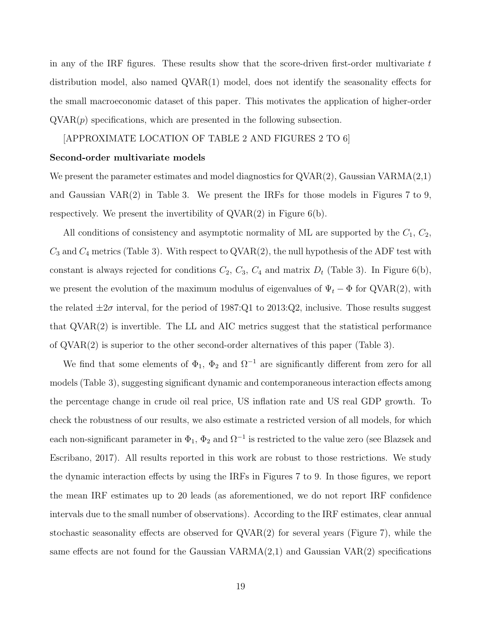in any of the IRF figures. These results show that the score-driven first-order multivariate  $t$ distribution model, also named QVAR(1) model, does not identify the seasonality effects for the small macroeconomic dataset of this paper. This motivates the application of higher-order  $QVAR(p)$  specifications, which are presented in the following subsection.

# [APPROXIMATE LOCATION OF TABLE 2 AND FIGURES 2 TO 6]

#### Second-order multivariate models

We present the parameter estimates and model diagnostics for  $QVAR(2)$ , Gaussian VARMA $(2,1)$ and Gaussian VAR(2) in Table 3. We present the IRFs for those models in Figures 7 to 9, respectively. We present the invertibility of  $QVAR(2)$  in Figure 6(b).

All conditions of consistency and asymptotic normality of ML are supported by the  $C_1$ ,  $C_2$ ,  $C_3$  and  $C_4$  metrics (Table 3). With respect to QVAR(2), the null hypothesis of the ADF test with constant is always rejected for conditions  $C_2$ ,  $C_3$ ,  $C_4$  and matrix  $D_t$  (Table 3). In Figure 6(b), we present the evolution of the maximum modulus of eigenvalues of  $\Psi_t - \Phi$  for QVAR(2), with the related  $\pm 2\sigma$  interval, for the period of 1987:Q1 to 2013:Q2, inclusive. Those results suggest that QVAR(2) is invertible. The LL and AIC metrics suggest that the statistical performance of QVAR(2) is superior to the other second-order alternatives of this paper (Table 3).

We find that some elements of  $\Phi_1$ ,  $\Phi_2$  and  $\Omega^{-1}$  are significantly different from zero for all models (Table 3), suggesting significant dynamic and contemporaneous interaction effects among the percentage change in crude oil real price, US inflation rate and US real GDP growth. To check the robustness of our results, we also estimate a restricted version of all models, for which each non-significant parameter in  $\Phi_1$ ,  $\Phi_2$  and  $\Omega^{-1}$  is restricted to the value zero (see Blazsek and Escribano, 2017). All results reported in this work are robust to those restrictions. We study the dynamic interaction effects by using the IRFs in Figures 7 to 9. In those figures, we report the mean IRF estimates up to 20 leads (as aforementioned, we do not report IRF confidence intervals due to the small number of observations). According to the IRF estimates, clear annual stochastic seasonality effects are observed for  $\alpha$ VAR $(2)$  for several years (Figure 7), while the same effects are not found for the Gaussian VARMA $(2,1)$  and Gaussian VAR $(2)$  specifications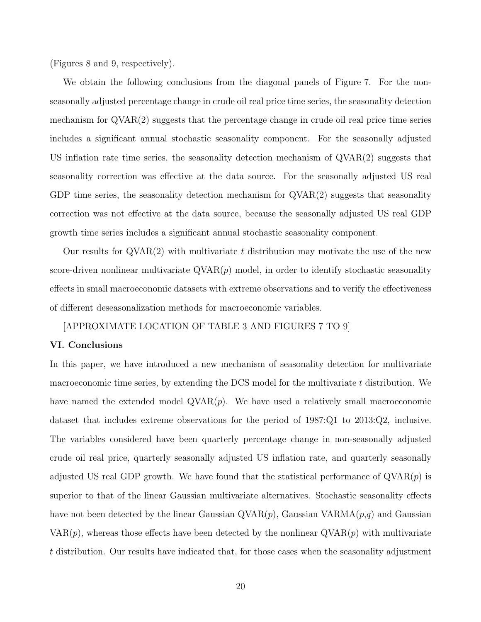(Figures 8 and 9, respectively).

We obtain the following conclusions from the diagonal panels of Figure 7. For the nonseasonally adjusted percentage change in crude oil real price time series, the seasonality detection mechanism for QVAR(2) suggests that the percentage change in crude oil real price time series includes a significant annual stochastic seasonality component. For the seasonally adjusted US inflation rate time series, the seasonality detection mechanism of QVAR(2) suggests that seasonality correction was effective at the data source. For the seasonally adjusted US real GDP time series, the seasonality detection mechanism for  $\text{QVAR}(2)$  suggests that seasonality correction was not effective at the data source, because the seasonally adjusted US real GDP growth time series includes a significant annual stochastic seasonality component.

Our results for  $QVAR(2)$  with multivariate t distribution may motivate the use of the new score-driven nonlinear multivariate  $\text{QVAR}(p)$  model, in order to identify stochastic seasonality effects in small macroeconomic datasets with extreme observations and to verify the effectiveness of different deseasonalization methods for macroeconomic variables.

# [APPROXIMATE LOCATION OF TABLE 3 AND FIGURES 7 TO 9]

# VI. Conclusions

In this paper, we have introduced a new mechanism of seasonality detection for multivariate macroeconomic time series, by extending the DCS model for the multivariate  $t$  distribution. We have named the extended model  $\text{QVAR}(p)$ . We have used a relatively small macroeconomic dataset that includes extreme observations for the period of 1987:Q1 to 2013:Q2, inclusive. The variables considered have been quarterly percentage change in non-seasonally adjusted crude oil real price, quarterly seasonally adjusted US inflation rate, and quarterly seasonally adjusted US real GDP growth. We have found that the statistical performance of  $\text{QVAR}(p)$  is superior to that of the linear Gaussian multivariate alternatives. Stochastic seasonality effects have not been detected by the linear Gaussian  $QVAR(p)$ , Gaussian  $VARMA(p,q)$  and Gaussian  $VAR(p)$ , whereas those effects have been detected by the nonlinear  $QVAR(p)$  with multivariate t distribution. Our results have indicated that, for those cases when the seasonality adjustment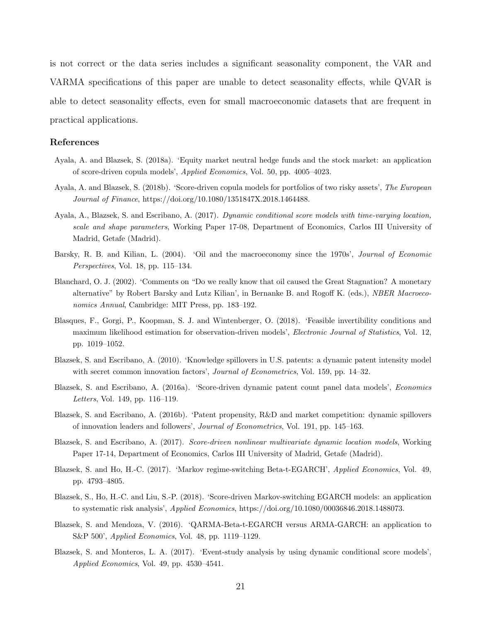is not correct or the data series includes a significant seasonality component, the VAR and VARMA specifications of this paper are unable to detect seasonality effects, while QVAR is able to detect seasonality effects, even for small macroeconomic datasets that are frequent in practical applications.

# References

- Ayala, A. and Blazsek, S. (2018a). 'Equity market neutral hedge funds and the stock market: an application of score-driven copula models', Applied Economics, Vol. 50, pp. 4005–4023.
- Ayala, A. and Blazsek, S. (2018b). 'Score-driven copula models for portfolios of two risky assets', The European Journal of Finance, https://doi.org/10.1080/1351847X.2018.1464488.
- Ayala, A., Blazsek, S. and Escribano, A. (2017). Dynamic conditional score models with time-varying location, scale and shape parameters, Working Paper 17-08, Department of Economics, Carlos III University of Madrid, Getafe (Madrid).
- Barsky, R. B. and Kilian, L. (2004). 'Oil and the macroeconomy since the 1970s', Journal of Economic Perspectives, Vol. 18, pp. 115–134.
- Blanchard, O. J. (2002). 'Comments on "Do we really know that oil caused the Great Stagnation? A monetary alternative" by Robert Barsky and Lutz Kilian', in Bernanke B. and Rogoff K. (eds.), NBER Macroeconomics Annual, Cambridge: MIT Press, pp. 183–192.
- Blasques, F., Gorgi, P., Koopman, S. J. and Wintenberger, O. (2018). 'Feasible invertibility conditions and maximum likelihood estimation for observation-driven models', *Electronic Journal of Statistics*, Vol. 12, pp. 1019–1052.
- Blazsek, S. and Escribano, A. (2010). 'Knowledge spillovers in U.S. patents: a dynamic patent intensity model with secret common innovation factors', *Journal of Econometrics*, Vol. 159, pp. 14–32.
- Blazsek, S. and Escribano, A. (2016a). 'Score-driven dynamic patent count panel data models', Economics Letters, Vol. 149, pp. 116–119.
- Blazsek, S. and Escribano, A. (2016b). 'Patent propensity, R&D and market competition: dynamic spillovers of innovation leaders and followers', Journal of Econometrics, Vol. 191, pp. 145–163.
- Blazsek, S. and Escribano, A. (2017). Score-driven nonlinear multivariate dynamic location models, Working Paper 17-14, Department of Economics, Carlos III University of Madrid, Getafe (Madrid).
- Blazsek, S. and Ho, H.-C. (2017). 'Markov regime-switching Beta-t-EGARCH', Applied Economics, Vol. 49, pp. 4793–4805.
- Blazsek, S., Ho, H.-C. and Liu, S.-P. (2018). 'Score-driven Markov-switching EGARCH models: an application to systematic risk analysis', Applied Economics, https://doi.org/10.1080/00036846.2018.1488073.
- Blazsek, S. and Mendoza, V. (2016). 'QARMA-Beta-t-EGARCH versus ARMA-GARCH: an application to S&P 500', Applied Economics, Vol. 48, pp. 1119–1129.
- Blazsek, S. and Monteros, L. A. (2017). 'Event-study analysis by using dynamic conditional score models', Applied Economics, Vol. 49, pp. 4530–4541.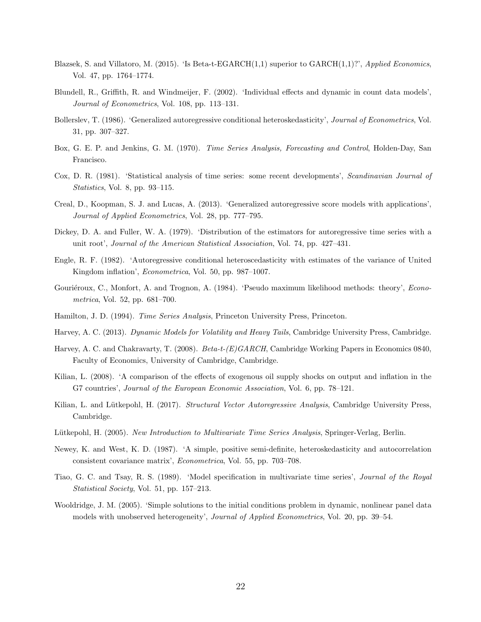- Blazsek, S. and Villatoro, M. (2015). 'Is Beta-t-EGARCH $(1,1)$  superior to GARCH $(1,1)$ ?', Applied Economics, Vol. 47, pp. 1764–1774.
- Blundell, R., Griffith, R. and Windmeijer, F. (2002). 'Individual effects and dynamic in count data models', Journal of Econometrics, Vol. 108, pp. 113–131.
- Bollerslev, T. (1986). 'Generalized autoregressive conditional heteroskedasticity', Journal of Econometrics, Vol. 31, pp. 307–327.
- Box, G. E. P. and Jenkins, G. M. (1970). *Time Series Analysis, Forecasting and Control*, Holden-Day, San Francisco.
- Cox, D. R. (1981). 'Statistical analysis of time series: some recent developments', Scandinavian Journal of Statistics, Vol. 8, pp. 93–115.
- Creal, D., Koopman, S. J. and Lucas, A. (2013). 'Generalized autoregressive score models with applications', Journal of Applied Econometrics, Vol. 28, pp. 777–795.
- Dickey, D. A. and Fuller, W. A. (1979). 'Distribution of the estimators for autoregressive time series with a unit root', Journal of the American Statistical Association, Vol. 74, pp. 427–431.
- Engle, R. F. (1982). 'Autoregressive conditional heteroscedasticity with estimates of the variance of United Kingdom inflation', Econometrica, Vol. 50, pp. 987–1007.
- Gouriéroux, C., Monfort, A. and Trognon, A. (1984). 'Pseudo maximum likelihood methods: theory', *Econo*metrica, Vol. 52, pp. 681–700.
- Hamilton, J. D. (1994). Time Series Analysis, Princeton University Press, Princeton.
- Harvey, A. C. (2013). Dynamic Models for Volatility and Heavy Tails, Cambridge University Press, Cambridge.
- Harvey, A. C. and Chakravarty, T. (2008). Beta-t-(E)GARCH, Cambridge Working Papers in Economics 0840, Faculty of Economics, University of Cambridge, Cambridge.
- Kilian, L. (2008). 'A comparison of the effects of exogenous oil supply shocks on output and inflation in the G7 countries', Journal of the European Economic Association, Vol. 6, pp. 78–121.
- Kilian, L. and Lütkepohl, H. (2017). Structural Vector Autoregressive Analysis, Cambridge University Press, Cambridge.
- Lütkepohl, H. (2005). New Introduction to Multivariate Time Series Analysis, Springer-Verlag, Berlin.
- Newey, K. and West, K. D. (1987). 'A simple, positive semi-definite, heteroskedasticity and autocorrelation consistent covariance matrix', Econometrica, Vol. 55, pp. 703–708.
- Tiao, G. C. and Tsay, R. S. (1989). 'Model specification in multivariate time series', Journal of the Royal Statistical Society, Vol. 51, pp. 157–213.
- Wooldridge, J. M. (2005). 'Simple solutions to the initial conditions problem in dynamic, nonlinear panel data models with unobserved heterogeneity', Journal of Applied Econometrics, Vol. 20, pp. 39–54.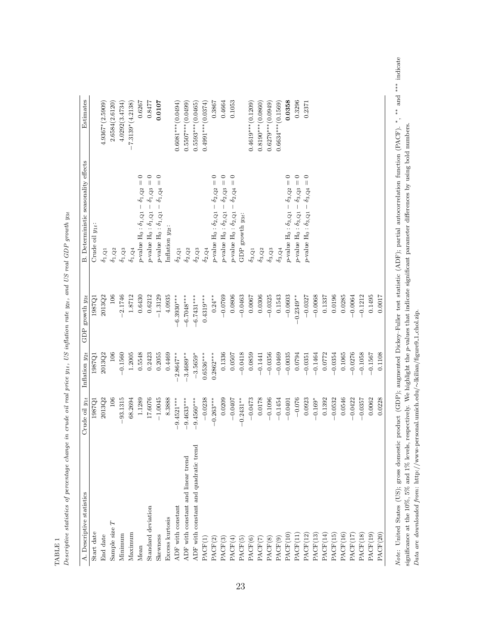| A. Descriptive statistics             | rude oil $y_{1t}$<br>Ö | Inflation y <sub>2t</sub> | growth y <sub>3t</sub><br>GDP | B. Deterministic seasonality effects                                                               | Estimates                    |
|---------------------------------------|------------------------|---------------------------|-------------------------------|----------------------------------------------------------------------------------------------------|------------------------------|
| Start date                            | 1987Q1                 | 1987Q1                    | 1987Q1                        | Crude oil $y_{1t}$ :                                                                               |                              |
| End date                              | 2013Q2                 | 2013Q2                    | 2013Q2                        | $\delta_{1,\mathrm{Q1}}$                                                                           | $4.9367*(2.5909)$            |
| Sample size $T$                       | 106                    | 106                       | 106                           | $\delta_{1,\mathrm{Q}2}$                                                                           | 2.6584(2.6120)               |
| Minimum                               | 93.1315                | $-0.1560$                 | $-2.1746$                     | $\delta_{1,\mathrm{Q}3}$                                                                           | 4.0292(3.4734)               |
| Maximum                               | 68.2694                | 1.2005                    | 1.8712                        | $\delta_{1,\mathrm{Q}4}$                                                                           | $7.3139*(4.2138)$<br>$\vert$ |
| Mean                                  | 1.1289                 | 0.5548                    | 0.6430                        | $\circ$<br>$\left  {}\right $<br>p-value $H_0: \delta_{1,\mathbf{Q}1} - \delta_{1,\mathbf{Q}2}$    | 0.6267                       |
| Standard deviation                    | 17.6076                | 0.2423                    | 0.6212                        | $\circ$<br>$p\text{-value H}_0: \delta_{1,\mathrm{Q1}}-\delta_{1,\mathrm{Q3}}=$                    | 0.8477                       |
| Skewness                              | $-1.0045$              | 0.2055                    | $-1.3129$                     | $\circ$<br>$p\text{-value H}_0: \delta_{1,\mathrm{Q1}}-\delta_{1,\mathrm{Q4}}=$                    | 0.0107                       |
| Excess kurtosis                       | 8.3888                 | 0.4469                    | 4.0935                        | Inflation $y_{2t}$ :                                                                               |                              |
| ADF with constant                     | $-9.4521***$           | $-2.8647**$               | $6.3930***$                   | $\delta_{2,\mathrm{Q1}}$                                                                           | $0.6081***$ (0.0494)         |
| ADF with constant and linear trend    | $-9.4633***$           | $-3.4689**$               | $6.7048***$                   | $\delta_{2,\mathrm{Q}2}$                                                                           | $0.5507***(0.0499)$          |
| ADF with constant and quadratic trend | $-9.4560***$           | $-3.5659*$                | $6.7431***$                   | $\delta_{2,\mathrm{Q3}}$                                                                           | $0.5593***(0.0465)$          |
| PACF(1)                               | $-0.0238$              | $0.6536***$               | $0.4319***$                   | $\delta_{2,\mathrm{Q}4}$                                                                           | $0.4991***$ (0.0374)         |
| PACF(2)                               | $-0.263***$            | $0.2862***$               | $0.24***$                     | $\circ$<br>$\vert\vert$<br>$-\delta_{2,\mathrm{Q2}}$ =<br>$p$ -value $H_0: \delta_{2,\mathrm{Q1}}$ | 0.3867                       |
| PACF(3)                               | 0.0209                 | 0.1336                    | $-0.0769$                     | $\circ$<br>$-\,\delta_{2,\mathrm{Q3}}=$<br>$p\text{-value } \mathbf{H}_0: \delta_{2,\mathbf{Q}1}$  | 0.4664                       |
| PACF(4)                               | $-0.0407$              | 0.0507                    | 0.0806                        | $\circ$<br>$\delta_{2,\mathrm{Q}4} =$<br>$p\text{-value }\text{H}_0: \delta_{2,\text{Q1}}$         | 0.1053                       |
| PACF(5)                               | $-0.2431**$            | $-0.0418$                 | $-0.0463$                     | GDP growth $y_3t$ :                                                                                |                              |
| PACF(6)                               | $-0.0473$              | 0.0859                    | 0.0067                        | $\delta_{3,\mathrm{Q1}}$                                                                           | $0.4619***$ (0.1209)         |
| PACF(7)                               | 0.0178                 | $-0.1441$                 | 0.0306                        | $\delta_{3,\mathrm{Q}2}$                                                                           | $0.8190***$ (0.0860)         |
| PACF(8)                               | $-0.1096$              | $-0.0356$                 | $-0.0325$                     | $\delta_{3,\mathrm{Q}3}$                                                                           | $0.6279***$ (0.0949)         |
| PACF(9)                               | $-0.1454$              | $-0.0469$                 | 0.1543                        | $\delta_{3,\mathrm{Q}4}$                                                                           | $0.6634***$ (0.1569)         |
| PACF(10                               | $-0.0401$              | $-0.0035$                 | $-0.0603$                     | 0<br>$\vert\vert$<br>$-\delta_{3,Q2}$ =<br>$p\text{-value } \mathbf{H}_0: \delta_{3,\mathbf{Q} 1}$ | 0.0358                       |
| PACF(11                               | $-0.076$               | 0.0794                    | $-0.2349**$                   | 0<br>$p\text{-value H}_0: \delta_{3,\mathrm{Q1}}-\delta_{3,\mathrm{Q3}}=$                          | 0.3296                       |
| PACF(12                               | 0.0923                 | $-0.0351$                 | $-0.0327$                     | $\circ$<br>p-value H <sub>0</sub> : $\delta_{3,\mathrm{Q1}} - \delta_{3,\mathrm{Q4}} =$            | 0.2371                       |
| PACF(13                               | $-0.169*$              | $-0.1464$                 | $-0.0068$                     |                                                                                                    |                              |
| PACF(14                               | 0.1392                 | 0.0772                    | 0.1337                        |                                                                                                    |                              |
| PACF(15                               | $-0.0532$              | $-0.0354$                 | 0.0196                        |                                                                                                    |                              |
| PACF(16                               | 0.0546                 | 0.1065                    | 0.0285                        |                                                                                                    |                              |
| PACF(17                               | $-0.0422$              | $-0.0276$                 | $-0.0064$                     |                                                                                                    |                              |
| PACF(18                               | $-0.0357$              | $-0.1058$                 | $-0.1212$                     |                                                                                                    |                              |
| PACF(19)                              | 0.0062                 | $-0.1567$                 | 0.1495                        |                                                                                                    |                              |
| PACF(20                               | 0.0228                 | 0.1108                    | 0.0017                        |                                                                                                    |                              |

TABLE 1<br>Descriptive statistics of percentage change in crude oil real price  $y_{1t}$ , US inflation rate  $y_{2t}$ , and US real GDP growth  $y_{3t}$ Descriptive statistics of percentage change in crude oil real price y1t, US inflation rate y2t, and US real GDP growth y3t Note: United States (US); gross domestic product (GDP); augmented Dickey-Fuller test statistic (ADF); partial autocorrelation function (PACF). \*, \*\* and \*\*\* indicate Note: United States (US); gross domestic product (GDP); augmented Dickey–Fuller test statistic (ADF); partial autocorrelation function (PACF). ∗, ∗∗ and ∗∗∗ indicate significance at the 10%, 5% and 1% levels, respectively. We highlight the p-values that indicate significant parameter differences by using bold numbers.<br>Data are downloaded from: http://www-personal.umich.edu/~lkilian/fi significance at the 10%, 5% and 1% levels, respectively. We highlight the p-values that indicate significant parameter differences by using bold numbers. Data are downloaded from: http://www-personal.umich.edu/∼lkilian/figure9 1 chol.zip.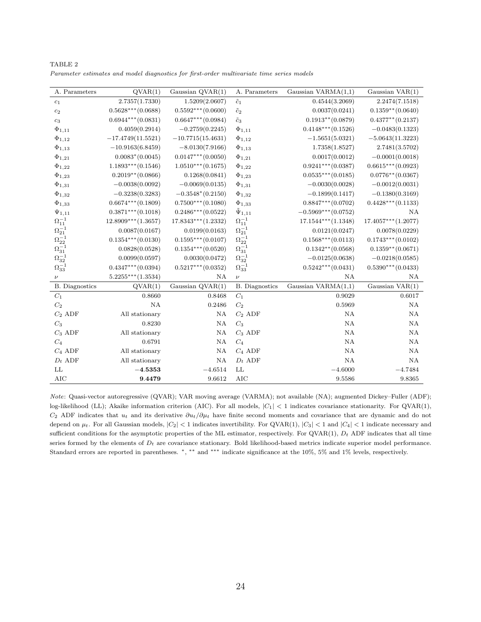| A. Parameters                                                   | QVAR(1)              | Gaussian $QVAR(1)$   | A. Parameters         | Gaussian $VARMA(1,1)$ | Gaussian $VAR(1)$    |
|-----------------------------------------------------------------|----------------------|----------------------|-----------------------|-----------------------|----------------------|
| $\scriptstyle c_1$                                              | 2.7357(1.7330)       | 1.5209(2.0607)       | $\tilde{c}_1$         | 0.4544(3.2069)        | 2.2474(7.1518)       |
| $c_2$                                                           | $0.5628***(0.0688)$  | $0.5592***(0.0600)$  | $\tilde{c}_2$         | 0.0037(0.0241)        | $0.1359**$ (0.0640)  |
| $\mathfrak{c}_3$                                                | $0.6944***$ (0.0831) | $0.6647***(0.0984)$  | $\tilde{c}_3$         | $0.1913**$ (0.0879)   | $0.4377**$ (0.2137)  |
| $\Phi_{1,11}$                                                   | 0.4059(0.2914)       | $-0.2759(0.2245)$    | $\Phi_{1,11}$         | $0.4148***(0.1526)$   | $-0.0483(0.1323)$    |
| $\Phi_{1,12}$                                                   | $-17.4749(11.5521)$  | $-10.7715(15.4631)$  | $\Phi_{1,12}$         | $-1.5651(5.0321)$     | $-5.0643(11.3223)$   |
| $\Phi_{1,13}$                                                   | $-10.9163(6.8459)$   | $-8.0130(7.9166)$    | $\Phi_{1,13}$         | 1.7358(1.8527)        | 2.7481(3.5702)       |
| $\Phi_{1,21}$                                                   | $0.0083*(0.0045)$    | $0.0147***$ (0.0050) | $\Phi_{1,21}$         | 0.0017(0.0012)        | $-0.0001(0.0018)$    |
| $\Phi_{1,22}$                                                   | $1.1893***(0.1546)$  | $1.0510***$ (0.1675) | $\Phi_{1,22}$         | $0.9241***$ (0.0387)  | $0.6615***(0.0923)$  |
| $\Phi_{1,23}$                                                   | $0.2019**$ (0.0866)  | 0.1268(0.0841)       | $\Phi_{1,23}$         | $0.0535***(0.0185)$   | $0.0776**$ (0.0367)  |
| $\Phi_{1,31}$                                                   | $-0.0038(0.0092)$    | $-0.0069(0.0135)$    | $\Phi_{1,31}$         | $-0.0030(0.0028)$     | $-0.0012(0.0031)$    |
| $\Phi_{1,32}$                                                   | $-0.3238(0.3283)$    | $-0.3548*(0.2150)$   | $\Phi_{1,32}$         | $-0.1899(0.1417)$     | $-0.1380(0.3169)$    |
| $\Phi_{1,33}$                                                   | $0.6674***$ (0.1809) | $0.7500***$ (0.1080) | $\Phi_{1,33}$         | $0.8847***(0.0702)$   | $0.4428***(0.1133)$  |
| $\Psi_{1,11}$                                                   | $0.3871***$ (0.1018) | $0.2486***(0.0522)$  | $\tilde{\Psi}_{1,11}$ | $-0.5969***(0.0752)$  | NA                   |
| $\Omega_{11}^{-1}$                                              | $12.8909***(1.3657)$ | $17.8343***(1.2332)$ | $\Omega_{11}^{-1}$    | $17.1544***(1.1348)$  | $17.4057***(1.2077)$ |
| $\Omega_{21}^{-1}$                                              | 0.0087(0.0167)       | 0.0199(0.0163)       | $\Omega_{21}^{-1}$    | 0.0121(0.0247)        | 0.0078(0.0229)       |
| $\begin{matrix}\Omega_{22}^{-1}\\ \Omega_{31}^{-1}\end{matrix}$ | $0.1354***(0.0130)$  | $0.1595***(0.0107)$  | $\Omega_{22}^{-1}$    | $0.1568***(0.0113)$   | $0.1743***(0.0102)$  |
|                                                                 | 0.0828(0.0528)       | $0.1354***(0.0520)$  | $\Omega_{31}^{-1}$    | $0.1342**$ (0.0568)   | $0.1359**$ (0.0671)  |
| $\Omega_{32}^{-1}$                                              | 0.0099(0.0597)       | 0.0030(0.0472)       | $\Omega_{32}^{-1}$    | $-0.0125(0.0638)$     | $-0.0218(0.0585)$    |
| $\Omega_{33}^{-1}$                                              | $0.4347***$ (0.0394) | $0.5217***$ (0.0352) | $\Omega_{33}^{-1}$    | $0.5242***(0.0431)$   | $0.5390***(0.0433)$  |
| $\nu$                                                           | $5.2255***(1.3534)$  | NA                   | $\boldsymbol{\nu}$    | NA                    | NA                   |
| <b>B.</b> Diagnostics                                           | QVAR(1)              | Gaussian QVAR(1)     | <b>B.</b> Diagnostics | Gaussian VARMA(1,1)   | Gaussian VAR(1)      |
| $C_1$                                                           | 0.8660               | 0.8468               | $C_1$                 | 0.9029                | 0.6017               |
| $C_2$                                                           | NA                   | 0.2486               | $C_2$                 | 0.5969                | <b>NA</b>            |
| $C_2$ ADF                                                       | All stationary       | NA                   | $C_2$ ADF             | <b>NA</b>             | <b>NA</b>            |
| $C_3$                                                           | 0.8230               | NA                   | $C_3$                 | NA                    | <b>NA</b>            |
| $C_3$ ADF                                                       | All stationary       | NA                   | $C_3$ ADF             | <b>NA</b>             | <b>NA</b>            |
| $C_4$                                                           | 0.6791               | NA                   | $C_4$                 | <b>NA</b>             | <b>NA</b>            |
| $C_4$ ADF                                                       | All stationary       | NA                   | $C_4$ ADF             | <b>NA</b>             | <b>NA</b>            |
| $D_t$ ADF                                                       | All stationary       | NA                   | $D_t$ ADF             | <b>NA</b>             | <b>NA</b>            |
| $\mathop{\rm LL}\nolimits$                                      | $-4.5353$            | $-4.6514$            | LL                    | $-4.6000$             | $-4.7484$            |

TABLE 2 Parameter estimates and model diagnostics for first-order multivariate time series models

Note: Quasi-vector autoregressive (QVAR); VAR moving average (VARMA); not available (NA); augmented Dickey–Fuller (ADF); log-likelihood (LL); Akaike information criterion (AIC). For all models,  $|C_1| < 1$  indicates covariance stationarity. For QVAR(1),  $C_2$  ADF indicates that  $u_t$  and its derivative  $\partial u_t/\partial \mu_t$  have finite second moments and covariance that are dynamic and do not depend on  $\mu_t$ . For all Gaussian models,  $|C_2| < 1$  indicates invertibility. For QVAR(1),  $|C_3| < 1$  and  $|C_4| < 1$  indicate necessary and sufficient conditions for the asymptotic properties of the ML estimator, respectively. For  $\text{QVAR}(1)$ ,  $D_t$  ADF indicates that all time series formed by the elements of  $D_t$  are covariance stationary. Bold likelihood-based metrics indicate superior model performance. Standard errors are reported in parentheses. <sup>∗</sup>, ∗∗ and ∗∗∗ indicate significance at the 10%, 5% and 1% levels, respectively.

AIC **9.4479** 9.6612 AIC 9.5586 9.8365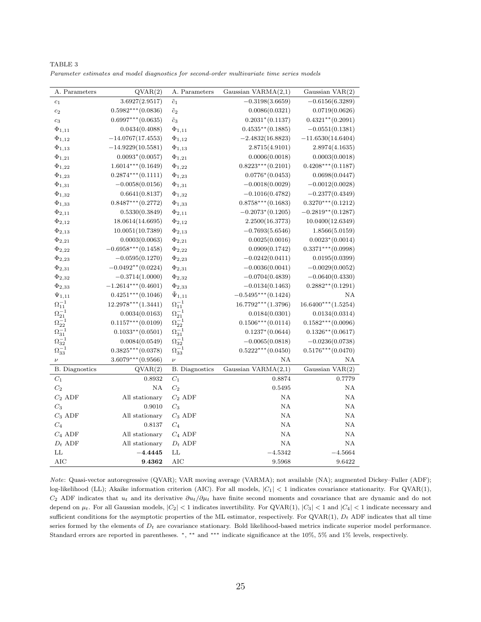| A. Parameters                         | QVAR(2)                | A. Parameters         | Gaussian $VARMA(2,1)$ | Gaussian VAR(2)       |
|---------------------------------------|------------------------|-----------------------|-----------------------|-----------------------|
| $c_1$                                 | 3.6927(2.9517)         | $\tilde{c}_1$         | $-0.3198(3.6659)$     | $-0.6156(6.3289)$     |
| $c_2$                                 | $0.5982***$ (0.0836)   | $\tilde{c}_2$         | 0.0086(0.0321)        | 0.0719(0.0626)        |
| $c_3$                                 | $0.6997***$ (0.0635)   | $\tilde{c}_3$         | $0.2031*(0.1137)$     | $0.4321**$ (0.2091)   |
| $\Phi_{1,11}$                         | 0.0434(0.4088)         | $\Phi_{1,11}$         | $0.4535**$ (0.1885)   | $-0.0551(0.1381)$     |
| $\Phi_{1,12}$                         | $-14.0767(17.4553)$    | $\Phi_{1,12}$         | $-2.4832(16.8823)$    | $-11.6530(14.6404)$   |
| $\Phi_{1,13}$                         | $-14.9229(10.5581)$    | $\Phi_{1,13}$         | 2.8715(4.9101)        | 2.8974(4.1635)        |
| $\Phi_{1,21}$                         | $0.0093*(0.0057)$      | $\Phi_{1,21}$         | 0.0006(0.0018)        | 0.0003(0.0018)        |
| $\Phi_{1,22}$                         | $1.6014***$ (0.1649)   | $\Phi_{1,22}$         | $0.8223***(0.2101)$   | $0.4208***$ (0.1187)  |
| $\Phi_{1,23}$                         | $0.2874***(0.1111)$    | $\Phi_{1,23}$         | $0.0776*(0.0453)$     | 0.0698(0.0447)        |
| $\Phi_{1,31}$                         | $-0.0058(0.0156)$      | $\Phi_{1,31}$         | $-0.0018(0.0029)$     | $-0.0012(0.0028)$     |
| $\Phi_{1,32}$                         | 0.6641(0.8137)         | $\Phi_{1,32}$         | $-0.1016(0.4782)$     | $-0.2377(0.4349)$     |
| $\Phi_{1,33}$                         | $0.8487***$ $(0.2772)$ | $\Phi_{1,33}$         | $0.8758***$ (0.1683)  | $0.3270***$ (0.1212)  |
| $\Phi_{2,11}$                         | 0.5330(0.3849)         | $\Phi_{2,11}$         | $-0.2073*(0.1205)$    | $-0.2819**$ (0.1287)  |
| $\Phi_{2,12}$                         | 18.0614(14.6695)       | $\Phi_{2,12}$         | 2.2500(16.3773)       | 10.0400(12.6349)      |
| $\Phi_{2,13}$                         | 10.0051(10.7389)       | $\Phi_{2,13}$         | $-0.7693(5.6546)$     | 1.8566(5.0159)        |
| $\Phi_{2,21}$                         | 0.0003(0.0063)         | $\Phi_{2,21}$         | 0.0025(0.0016)        | $0.0023*(0.0014)$     |
| $\Phi_{2,22}$                         | $-0.6958***(0.1458)$   | $\Phi_{2,22}$         | 0.0909(0.1742)        | $0.3371***$ (0.0998)  |
| $\Phi_{2,23}$                         | $-0.0595(0.1270)$      | $\Phi_{2,23}$         | $-0.0242(0.0411)$     | 0.0195(0.0399)        |
| $\Phi_{2,31}$                         | $-0.0492**$ (0.0224)   | $\Phi_{2,31}$         | $-0.0036(0.0041)$     | $-0.0029(0.0052)$     |
| $\Phi_{2,32}$                         | $-0.3714(1.0000)$      | $\Phi_{2,32}$         | $-0.0704(0.4839)$     | $-0.0640(0.4330)$     |
| $\Phi_{2,33}$                         | $-1.2614***(0.4601)$   | $\Phi_{2,33}$         | $-0.0134(0.1463)$     | $0.2882**$ (0.1291)   |
| $\Psi_{1,11}$                         | $0.4251***(0.1046)$    | $\tilde{\Psi}_{1,11}$ | $-0.5495***(0.1424)$  | ΝA                    |
| $\Omega_{11}^{-1}$                    | $12.2978***(1.3441)$   | $\Omega_{11}^{-1}$    | $16.7792***$ (1.3796) | $16.6400***$ (1.5254) |
|                                       | 0.0034(0.0163)         | $\Omega_{21}^{-1}$    | 0.0184(0.0301)        | 0.0134(0.0314)        |
| $\Omega_{21}^{-1}$ $\Omega_{22}^{-1}$ | $0.1157***$ (0.0109)   | $\Omega_{22}^{-1}$    | $0.1506***(0.0114)$   | $0.1582***(0.0096)$   |
| $\Omega_{31}^{-1}$                    | $0.1033**$ (0.0501)    | $\Omega_{31}^{-1}$    | $0.1237*(0.0644)$     | $0.1326**$ (0.0617)   |
| $\Omega_{32}^{-1}$                    | 0.0084(0.0549)         | $\Omega_{32}^{-1}$    | $-0.0065(0.0818)$     | $-0.0236(0.0738)$     |
| $\Omega_{33}^{-1}$                    | $0.3825***(0.0378)$    | $\Omega_{33}^{-1}$    | $0.5222***(0.0450)$   | $0.5176***(0.0470)$   |
| $\boldsymbol{\nu}$                    | $3.6079***$ (0.9566)   | $\boldsymbol{\nu}$    | NA                    | ΝA                    |
| <b>B.</b> Diagnostics                 | QVAR(2)                | <b>B.</b> Diagnostics | Gaussian $VARMA(2,1)$ | Gaussian VAR(2)       |
| $C_1$                                 | 0.8932                 | $C_1$                 | 0.8874                | 0.7779                |
| $C_2$                                 | NA                     | $C_2$                 | 0.5495                | NA                    |
| $C_2$ ADF                             | All stationary         | $C_2$ ADF             | NA                    | NA                    |
| $C_3$                                 | 0.9010                 | $C_3$                 | NA                    | NA                    |
| $C_3$ ADF                             | All stationary         | $C_3$ ADF             | NA                    | NA                    |
| $C_4$                                 | 0.8137                 | $C_4$                 | NA                    | NA                    |
| $C_4$ ADF                             | All stationary         | $C_4$ ADF             | NA                    | NA                    |
| $D_t$ ADF                             | All stationary         | $D_t$ ADF             | NA                    | NA                    |
| LL                                    | $-4.4445$              | LL                    | $-4.5342$             | $-4.5664$             |
| $\rm AIC$                             | 9.4362                 | <b>AIC</b>            | 9.5968                | 9.6422                |

TABLE 3 Parameter estimates and model diagnostics for second-order multivariate time series models

Note: Quasi-vector autoregressive (QVAR); VAR moving average (VARMA); not available (NA); augmented Dickey–Fuller (ADF); log-likelihood (LL); Akaike information criterion (AIC). For all models,  $|C_1| < 1$  indicates covariance stationarity. For QVAR(1),  $C_2$  ADF indicates that  $u_t$  and its derivative  $\partial u_t/\partial \mu_t$  have finite second moments and covariance that are dynamic and do not depend on  $\mu_t$ . For all Gaussian models,  $|C_2| < 1$  indicates invertibility. For QVAR(1),  $|C_3| < 1$  and  $|C_4| < 1$  indicate necessary and sufficient conditions for the asymptotic properties of the ML estimator, respectively. For QVAR(1),  $D_t$  ADF indicates that all time series formed by the elements of  $D_t$  are covariance stationary. Bold likelihood-based metrics indicate superior model performance. Standard errors are reported in parentheses. <sup>∗</sup>, ∗∗ and ∗∗∗ indicate significance at the 10%, 5% and 1% levels, respectively.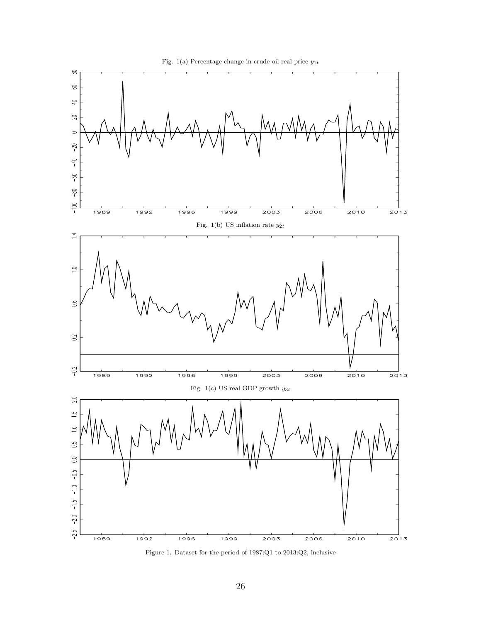



Figure 1. Dataset for the period of 1987:Q1 to 2013:Q2, inclusive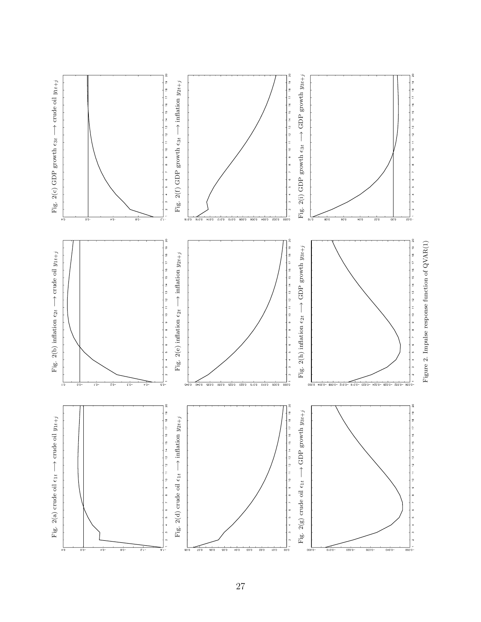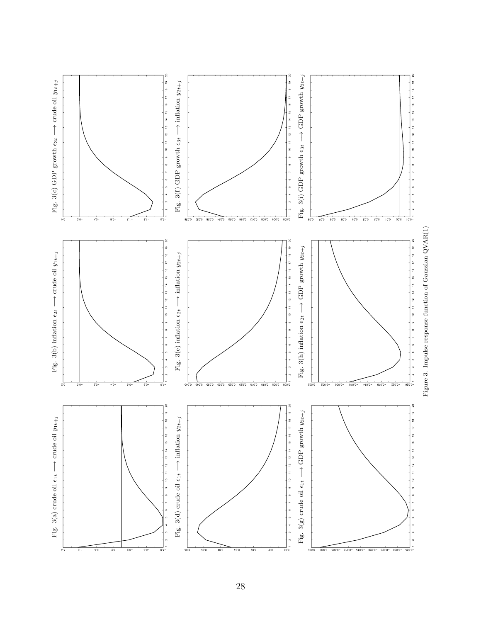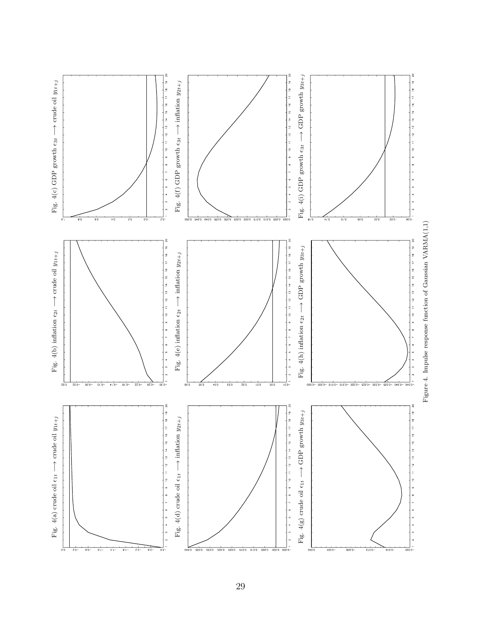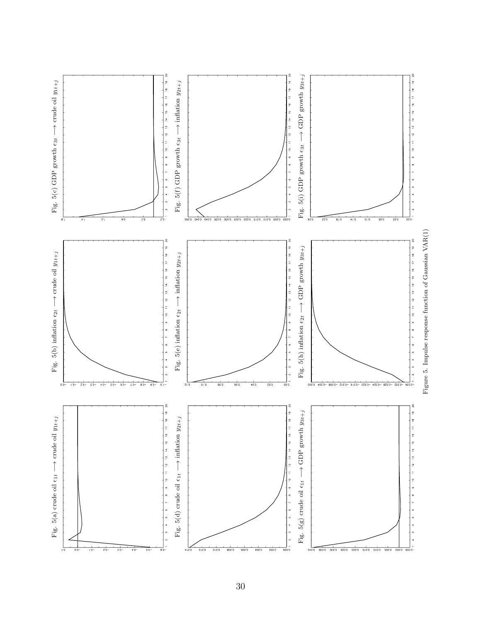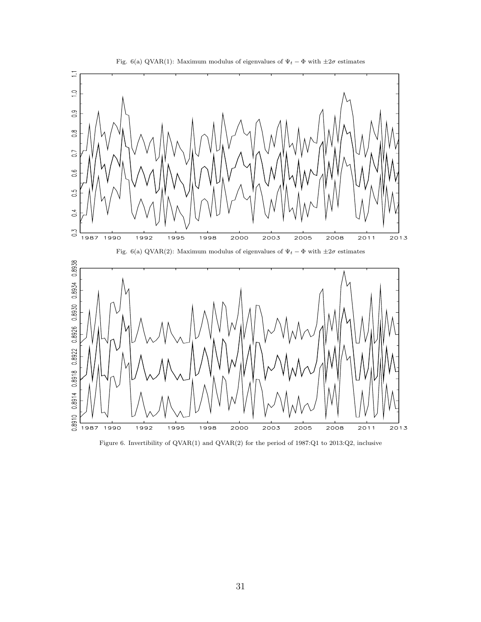



Figure 6. Invertibility of QVAR(1) and QVAR(2) for the period of 1987:Q1 to 2013:Q2, inclusive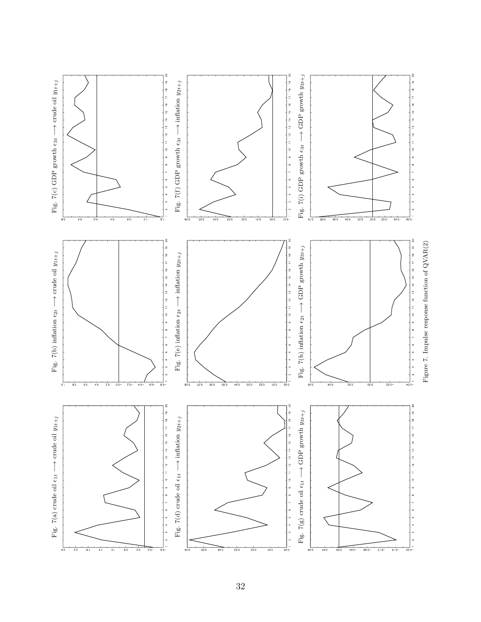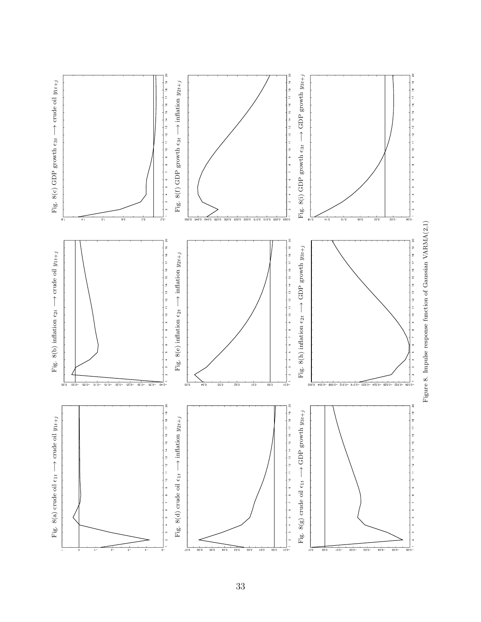